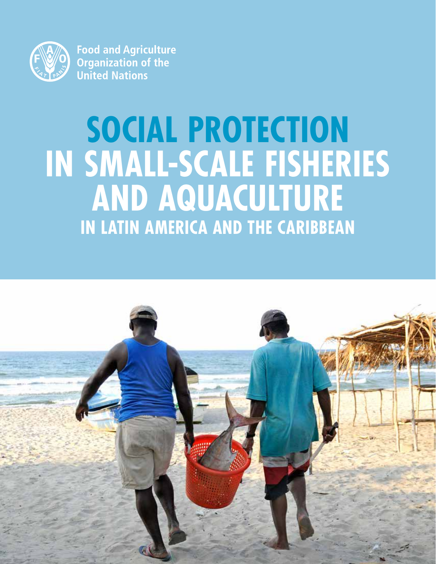

**Food and Agriculture Organization of the United Nations** 

# **SOCIAL PROTECTION IN SMALL-SCALE FISHERIES AND AQUACULTURE IN LATIN AMERICA AND THE CARIBBEAN**

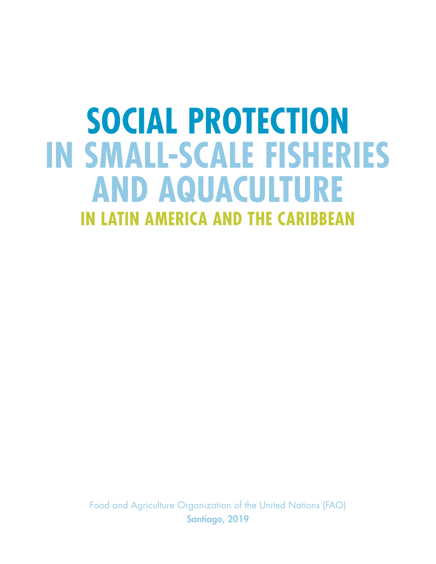# **SOCIAL PROTECTION IN SMALL-SCALE FISHERIES AND AQUACULTURE IN LATIN AMERICA AND THE CARIBBEAN**

Food and Agriculture Organization of the United Nations (FAO) Santiago, 2019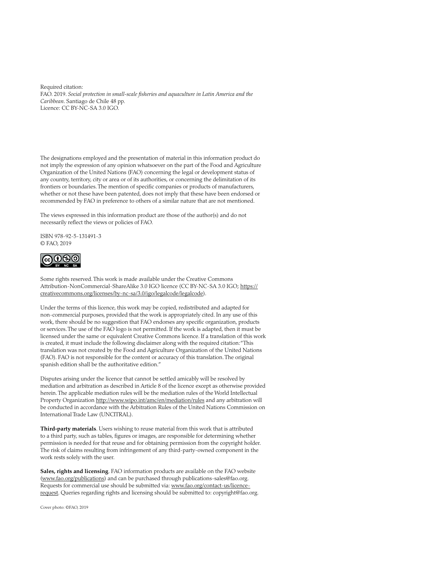Required citation: FAO. 2019. *Social protection in small-scale fisheries and aquaculture in Latin America and the Caribbean*. Santiago de Chile 48 pp. Licence: CC BY-NC-SA 3.0 IGO.

The designations employed and the presentation of material in this information product do not imply the expression of any opinion whatsoever on the part of the Food and Agriculture Organization of the United Nations (FAO) concerning the legal or development status of any country, territory, city or area or of its authorities, or concerning the delimitation of its frontiers or boundaries. The mention of specific companies or products of manufacturers, whether or not these have been patented, does not imply that these have been endorsed or recommended by FAO in preference to others of a similar nature that are not mentioned.

The views expressed in this information product are those of the author(s) and do not necessarily reflect the views or policies of FAO.

ISBN 978-92-5-131491-3 © FAO, 2019



Some rights reserved. This work is made available under the Creative Commons Attribution-NonCommercial-ShareAlike 3.0 IGO licence (CC BY-NC-SA 3.0 IGO; [https://](https://creativecommons.org/licenses/by-nc-sa/3.0/igo/legalcode/legalcode) [creativecommons.org/licenses/by-nc-sa/3.0/igo/legalcode/legalcode](https://creativecommons.org/licenses/by-nc-sa/3.0/igo/legalcode/legalcode)).

Under the terms of this licence, this work may be copied, redistributed and adapted for non-commercial purposes, provided that the work is appropriately cited. In any use of this work, there should be no suggestion that FAO endorses any specific organization, products or services. The use of the FAO logo is not permitted. If the work is adapted, then it must be licensed under the same or equivalent Creative Commons licence. If a translation of this work is created, it must include the following disclaimer along with the required citation: "This translation was not created by the Food and Agriculture Organization of the United Nations (FAO). FAO is not responsible for the content or accuracy of this translation. The original spanish edition shall be the authoritative edition."

Disputes arising under the licence that cannot be settled amicably will be resolved by mediation and arbitration as described in Article 8 of the licence except as otherwise provided herein. The applicable mediation rules will be the mediation rules of the World Intellectual Property Organization <http://www.wipo.int/amc/en/mediation/rules> and any arbitration will be conducted in accordance with the Arbitration Rules of the United Nations Commission on International Trade Law (UNCITRAL).

**Third-party materials**. Users wishing to reuse material from this work that is attributed to a third party, such as tables, figures or images, are responsible for determining whether permission is needed for that reuse and for obtaining permission from the copyright holder. The risk of claims resulting from infringement of any third-party-owned component in the work rests solely with the user.

**Sales, rights and licensing**. FAO information products are available on the FAO website [\(www.fao.org/publications\)](http://www.fao.org/publications) and can be purchased through [publications-sales@fao.org](mailto:publications-sales@fao.org). Requests for commercial use should be submitted via: [www.fao.org/contact-us/licence](http://www.fao.org/contact-us/licence-request)[request.](http://www.fao.org/contact-us/licence-request) Queries regarding rights and licensing should be submitted to: [copyright@fao.org](mailto:copyright@fao.org).

Cover photo: ©FAO, 2019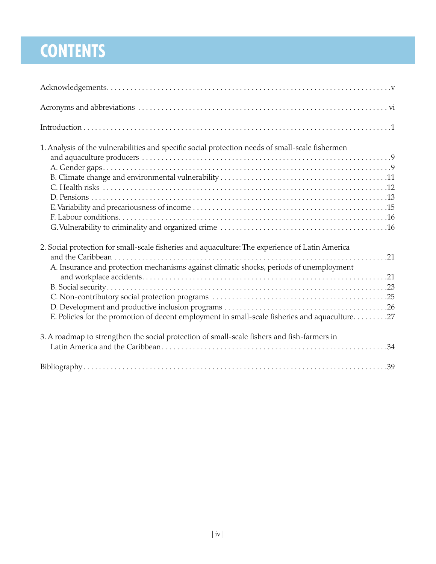## **CONTENTS**

| 1. Analysis of the vulnerabilities and specific social protection needs of small-scale fishermen                                                                                           |
|--------------------------------------------------------------------------------------------------------------------------------------------------------------------------------------------|
| 2. Social protection for small-scale fisheries and aquaculture: The experience of Latin America<br>A. Insurance and protection mechanisms against climatic shocks, periods of unemployment |
| E. Policies for the promotion of decent employment in small-scale fisheries and aquaculture. 27                                                                                            |
| 3. A roadmap to strengthen the social protection of small-scale fishers and fish-farmers in                                                                                                |
|                                                                                                                                                                                            |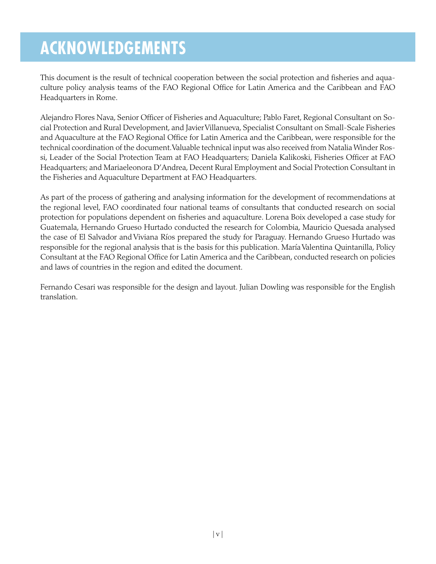### <span id="page-4-0"></span>**ACKNOWLEDGEMENTS**

This document is the result of technical cooperation between the social protection and fisheries and aquaculture policy analysis teams of the FAO Regional Office for Latin America and the Caribbean and FAO Headquarters in Rome.

Alejandro Flores Nava, Senior Officer of Fisheries and Aquaculture; Pablo Faret, Regional Consultant on Social Protection and Rural Development, and Javier Villanueva, Specialist Consultant on Small-Scale Fisheries and Aquaculture at the FAO Regional Office for Latin America and the Caribbean, were responsible for the technical coordination of the document. Valuable technical input was also received from Natalia Winder Rossi, Leader of the Social Protection Team at FAO Headquarters; Daniela Kalikoski, Fisheries Officer at FAO Headquarters; and Mariaeleonora D'Andrea, Decent Rural Employment and Social Protection Consultant in the Fisheries and Aquaculture Department at FAO Headquarters.

As part of the process of gathering and analysing information for the development of recommendations at the regional level, FAO coordinated four national teams of consultants that conducted research on social protection for populations dependent on fisheries and aquaculture. Lorena Boix developed a case study for Guatemala, Hernando Grueso Hurtado conducted the research for Colombia, Mauricio Quesada analysed the case of El Salvador and Viviana Ríos prepared the study for Paraguay. Hernando Grueso Hurtado was responsible for the regional analysis that is the basis for this publication. María Valentina Quintanilla, Policy Consultant at the FAO Regional Office for Latin America and the Caribbean, conducted research on policies and laws of countries in the region and edited the document.

Fernando Cesari was responsible for the design and layout. Julian Dowling was responsible for the English translation.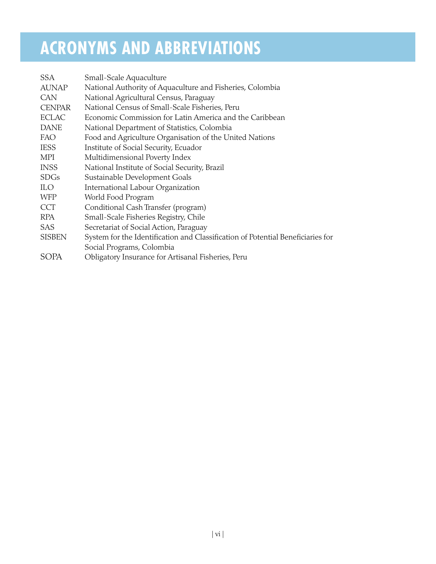## <span id="page-5-0"></span>**ACRONYMS AND ABBREVIATIONS**

| SSA           | Small-Scale Aquaculture                                                         |
|---------------|---------------------------------------------------------------------------------|
| <b>AUNAP</b>  | National Authority of Aquaculture and Fisheries, Colombia                       |
| <b>CAN</b>    | National Agricultural Census, Paraguay                                          |
| <b>CENPAR</b> | National Census of Small-Scale Fisheries, Peru                                  |
| <b>ECLAC</b>  | Economic Commission for Latin America and the Caribbean                         |
| <b>DANE</b>   | National Department of Statistics, Colombia                                     |
| FAO           | Food and Agriculture Organisation of the United Nations                         |
| <b>IESS</b>   | Institute of Social Security, Ecuador                                           |
| <b>MPI</b>    | Multidimensional Poverty Index                                                  |
| <b>INSS</b>   | National Institute of Social Security, Brazil                                   |
| <b>SDGs</b>   | Sustainable Development Goals                                                   |
| ILO           | International Labour Organization                                               |
| <b>WFP</b>    | World Food Program                                                              |
| <b>CCT</b>    | Conditional Cash Transfer (program)                                             |
| <b>RPA</b>    | Small-Scale Fisheries Registry, Chile                                           |
| SAS           | Secretariat of Social Action, Paraguay                                          |
| <b>SISBEN</b> | System for the Identification and Classification of Potential Beneficiaries for |
|               | Social Programs, Colombia                                                       |
| SOPA          | Obligatory Insurance for Artisanal Fisheries, Peru                              |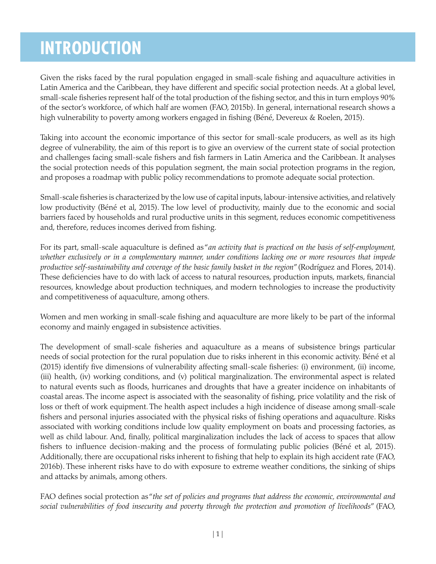### <span id="page-6-0"></span>**INTRODUCTION**

Given the risks faced by the rural population engaged in small-scale fishing and aquaculture activities in Latin America and the Caribbean, they have different and specific social protection needs. At a global level, small-scale fisheries represent half of the total production of the fishing sector, and this in turn employs 90% of the sector's workforce, of which half are women (FAO, 2015b). In general, international research shows a high vulnerability to poverty among workers engaged in fishing (Béné, Devereux & Roelen, 2015).

Taking into account the economic importance of this sector for small-scale producers, as well as its high degree of vulnerability, the aim of this report is to give an overview of the current state of social protection and challenges facing small-scale fishers and fish farmers in Latin America and the Caribbean. It analyses the social protection needs of this population segment, the main social protection programs in the region, and proposes a roadmap with public policy recommendations to promote adequate social protection.

Small-scale fisheries is characterized by the low use of capital inputs, labour-intensive activities, and relatively low productivity (Béné et al, 2015). The low level of productivity, mainly due to the economic and social barriers faced by households and rural productive units in this segment, reduces economic competitiveness and, therefore, reduces incomes derived from fishing.

For its part, small-scale aquaculture is defined as "*an activity that is practiced on the basis of self-employment, whether exclusively or in a complementary manner, under conditions lacking one or more resources that impede productive self-sustainability and coverage of the basic family basket in the region*" (Rodríguez and Flores, 2014). These deficiencies have to do with lack of access to natural resources, production inputs, markets, financial resources, knowledge about production techniques, and modern technologies to increase the productivity and competitiveness of aquaculture, among others.

Women and men working in small-scale fishing and aquaculture are more likely to be part of the informal economy and mainly engaged in subsistence activities.

The development of small-scale fisheries and aquaculture as a means of subsistence brings particular needs of social protection for the rural population due to risks inherent in this economic activity. Béné et al (2015) identify five dimensions of vulnerability affecting small-scale fisheries: (i) environment, (ii) income, (iii) health, (iv) working conditions, and (v) political marginalization. The environmental aspect is related to natural events such as floods, hurricanes and droughts that have a greater incidence on inhabitants of coastal areas. The income aspect is associated with the seasonality of fishing, price volatility and the risk of loss or theft of work equipment. The health aspect includes a high incidence of disease among small-scale fishers and personal injuries associated with the physical risks of fishing operations and aquaculture. Risks associated with working conditions include low quality employment on boats and processing factories, as well as child labour. And, finally, political marginalization includes the lack of access to spaces that allow fishers to influence decision-making and the process of formulating public policies (Béné et al, 2015). Additionally, there are occupational risks inherent to fishing that help to explain its high accident rate (FAO, 2016b). These inherent risks have to do with exposure to extreme weather conditions, the sinking of ships and attacks by animals, among others.

FAO defines social protection as "*the set of policies and programs that address the economic, environmental and social vulnerabilities of food insecurity and poverty through the protection and promotion of livelihoods*" (FAO,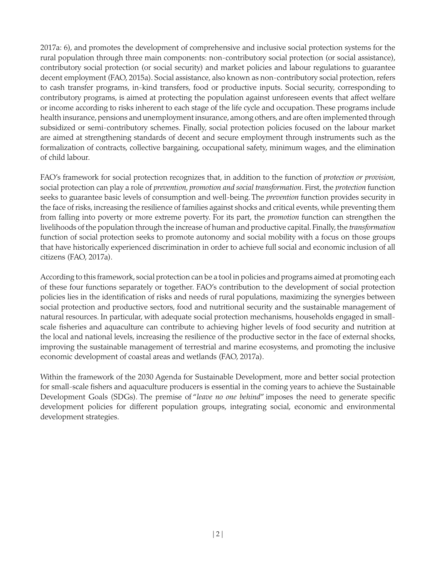2017a: 6), and promotes the development of comprehensive and inclusive social protection systems for the rural population through three main components: non-contributory social protection (or social assistance), contributory social protection (or social security) and market policies and labour regulations to guarantee decent employment (FAO, 2015a). Social assistance, also known as non-contributory social protection, refers to cash transfer programs, in-kind transfers, food or productive inputs. Social security, corresponding to contributory programs, is aimed at protecting the population against unforeseen events that affect welfare or income according to risks inherent to each stage of the life cycle and occupation. These programs include health insurance, pensions and unemployment insurance, among others, and are often implemented through subsidized or semi-contributory schemes. Finally, social protection policies focused on the labour market are aimed at strengthening standards of decent and secure employment through instruments such as the formalization of contracts, collective bargaining, occupational safety, minimum wages, and the elimination of child labour.

FAO's framework for social protection recognizes that, in addition to the function of *protection or provision*, social protection can play a role of *prevention, promotion and social transformation*. First, the *protection* function seeks to guarantee basic levels of consumption and well-being. The *prevention* function provides security in the face of risks, increasing the resilience of families against shocks and critical events, while preventing them from falling into poverty or more extreme poverty. For its part, the *promotion* function can strengthen the livelihoods of the population through the increase of human and productive capital. Finally, the *transformation* function of social protection seeks to promote autonomy and social mobility with a focus on those groups that have historically experienced discrimination in order to achieve full social and economic inclusion of all citizens (FAO, 2017a).

According to this framework, social protection can be a tool in policies and programs aimed at promoting each of these four functions separately or together. FAO's contribution to the development of social protection policies lies in the identification of risks and needs of rural populations, maximizing the synergies between social protection and productive sectors, food and nutritional security and the sustainable management of natural resources. In particular, with adequate social protection mechanisms, households engaged in smallscale fisheries and aquaculture can contribute to achieving higher levels of food security and nutrition at the local and national levels, increasing the resilience of the productive sector in the face of external shocks, improving the sustainable management of terrestrial and marine ecosystems, and promoting the inclusive economic development of coastal areas and wetlands (FAO, 2017a).

Within the framework of the 2030 Agenda for Sustainable Development, more and better social protection for small-scale fishers and aquaculture producers is essential in the coming years to achieve the Sustainable Development Goals (SDGs). The premise of "*leave no one behind*" imposes the need to generate specific development policies for different population groups, integrating social, economic and environmental development strategies.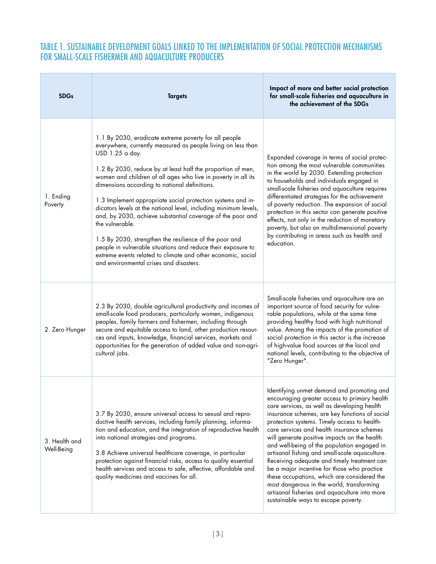### TABLE 1. SUSTAINABLE DEVELOPMENT GOALS LINKED TO THE IMPLEMENTATION OF SOCIAL PROTECTION MECHANISMS FOR SMALL-SCALE FISHERMEN AND AQUACULTURE PRODUCERS

| <b>SDGs</b>                 | <b>Targets</b>                                                                                                                                                                                                                                                                                                                                                                                                                                                                                                                                                                                                                                                                                                                                                                     | Impact of more and better social protection<br>for small-scale fisheries and aquaculture in<br>the achievement of the SDGs                                                                                                                                                                                                                                                                                                                                                                                                                                                                                                                                                                                                   |
|-----------------------------|------------------------------------------------------------------------------------------------------------------------------------------------------------------------------------------------------------------------------------------------------------------------------------------------------------------------------------------------------------------------------------------------------------------------------------------------------------------------------------------------------------------------------------------------------------------------------------------------------------------------------------------------------------------------------------------------------------------------------------------------------------------------------------|------------------------------------------------------------------------------------------------------------------------------------------------------------------------------------------------------------------------------------------------------------------------------------------------------------------------------------------------------------------------------------------------------------------------------------------------------------------------------------------------------------------------------------------------------------------------------------------------------------------------------------------------------------------------------------------------------------------------------|
| 1. Ending<br>Poverty        | 1.1 By 2030, eradicate extreme poverty for all people<br>everywhere, currently measured as people living on less than<br>USD 1.25 a day.<br>1.2 By 2030, reduce by at least half the proportion of men,<br>women and children of all ages who live in poverty in all its<br>dimensions according to national definitions.<br>1.3 Implement appropriate social protection systems and in-<br>dicators levels at the national level, including minimum levels,<br>and, by 2030, achieve substantial coverage of the poor and<br>the vulnerable.<br>1.5 By 2030, strengthen the resilience of the poor and<br>people in vulnerable situations and reduce their exposure to<br>extreme events related to climate and other economic, social<br>and environmental crises and disasters. | Expanded coverage in terms of social protec-<br>tion among the most vulnerable communities<br>in the world by 2030. Extending protection<br>to households and individuals engaged in<br>small-scale fisheries and aquaculture requires<br>differentiated strategies for the achievement<br>of poverty reduction. The expansion of social<br>protection in this sector can generate positive<br>effects, not only in the reduction of monetary<br>poverty, but also on multidimensional poverty<br>by contributing in areas such as health and<br>education.                                                                                                                                                                  |
| 2. Zero Hunger              | 2.3 By 2030, double agricultural productivity and incomes of<br>small-scale food producers, particularly women, indigenous<br>peoples, family farmers and fishermen, including through<br>secure and equitable access to land, other production resour-<br>ces and inputs, knowledge, financial services, markets and<br>opportunities for the generation of added value and non-agri-<br>cultural jobs.                                                                                                                                                                                                                                                                                                                                                                           | Small-scale fisheries and aquaculture are an<br>important source of food security for vulne-<br>rable populations, while at the same time<br>providing healthy food with high nutritional<br>value. Among the impacts of the promotion of<br>social protection in this sector is the increase<br>of high-value food sources at the local and<br>national levels, contributing to the objective of<br>"Zero Hunger".                                                                                                                                                                                                                                                                                                          |
| 3. Health and<br>Well-Being | 3.7 By 2030, ensure universal access to sexual and repro-<br>ductive health services, including family planning, informa-<br>tion and education, and the integration of reproductive health<br>into national strategies and programs.<br>3.8 Achieve universal healthcare coverage, in particular<br>protection against financial risks, access to quality essential<br>health services and access to safe, effective, affordable and<br>quality medicines and vaccines for all.                                                                                                                                                                                                                                                                                                   | Identifying unmet demand and promoting and<br>encouraging greater access to primary health<br>care services, as well as developing health<br>insurance schemes, are key functions of social<br>protection systems. Timely access to health-<br>care services and health insurance schemes<br>will generate positive impacts on the health<br>and well-being of the population engaged in<br>artisanal fishing and small-scale aquaculture.<br>Receiving adequate and timely treatment can<br>be a major incentive for those who practice<br>these occupations, which are considered the<br>most dangerous in the world, transforming<br>artisanal fisheries and aquaculture into more<br>sustainable ways to escape poverty. |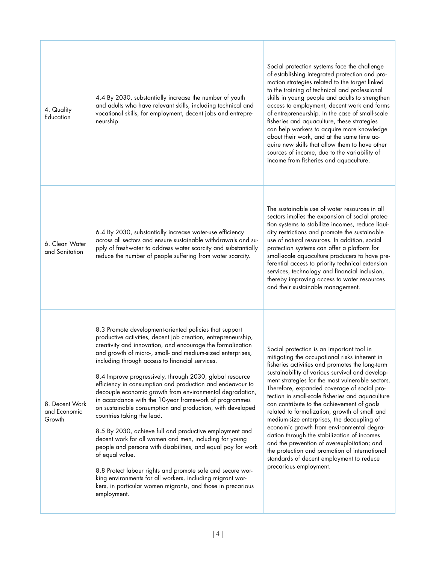| 4. Quality<br>Education                  | 4.4 By 2030, substantially increase the number of youth<br>and adults who have relevant skills, including technical and<br>vocational skills, for employment, decent jobs and entrepre-<br>neurship.                                                                                                                                                                                                                                                                                                                                                                                                                                                                                                                                                                                                                                                                                                                                                                                                                                                              | Social protection systems face the challenge<br>of establishing integrated protection and pro-<br>motion strategies related to the target linked<br>to the training of technical and professional<br>skills in young people and adults to strengthen<br>access to employment, decent work and forms<br>of entrepreneurship. In the case of small-scale<br>fisheries and aquaculture, these strategies<br>can help workers to acquire more knowledge<br>about their work, and at the same time ac-<br>quire new skills that allow them to have other<br>sources of income, due to the variability of<br>income from fisheries and aquaculture.                                                                                                                          |
|------------------------------------------|-------------------------------------------------------------------------------------------------------------------------------------------------------------------------------------------------------------------------------------------------------------------------------------------------------------------------------------------------------------------------------------------------------------------------------------------------------------------------------------------------------------------------------------------------------------------------------------------------------------------------------------------------------------------------------------------------------------------------------------------------------------------------------------------------------------------------------------------------------------------------------------------------------------------------------------------------------------------------------------------------------------------------------------------------------------------|------------------------------------------------------------------------------------------------------------------------------------------------------------------------------------------------------------------------------------------------------------------------------------------------------------------------------------------------------------------------------------------------------------------------------------------------------------------------------------------------------------------------------------------------------------------------------------------------------------------------------------------------------------------------------------------------------------------------------------------------------------------------|
| 6. Clean Water<br>and Sanitation         | 6.4 By 2030, substantially increase water-use efficiency<br>across all sectors and ensure sustainable withdrawals and su-<br>pply of freshwater to address water scarcity and substantially<br>reduce the number of people suffering from water scarcity.                                                                                                                                                                                                                                                                                                                                                                                                                                                                                                                                                                                                                                                                                                                                                                                                         | The sustainable use of water resources in all<br>sectors implies the expansion of social protec-<br>tion systems to stabilize incomes, reduce liqui-<br>dity restrictions and promote the sustainable<br>use of natural resources. In addition, social<br>protection systems can offer a platform for<br>small-scale aquaculture producers to have pre-<br>ferential access to priority technical extension<br>services, technology and financial inclusion,<br>thereby improving access to water resources<br>and their sustainable management.                                                                                                                                                                                                                       |
| 8. Decent Work<br>and Economic<br>Growth | 8.3 Promote development-oriented policies that support<br>productive activities, decent job creation, entrepreneurship,<br>creativity and innovation, and encourage the formalization<br>and growth of micro-, small- and medium-sized enterprises,<br>including through access to financial services.<br>8.4 Improve progressively, through 2030, global resource<br>efficiency in consumption and production and endeavour to<br>decouple economic growth from environmental degradation,<br>in accordance with the 10-year framework of programmes<br>on sustainable consumption and production, with developed<br>countries taking the lead.<br>8.5 By 2030, achieve full and productive employment and<br>decent work for all women and men, including for young<br>people and persons with disabilities, and equal pay for work<br>of equal value.<br>8.8 Protect labour rights and promote safe and secure wor-<br>king environments for all workers, including migrant wor-<br>kers, in particular women migrants, and those in precarious<br>employment. | Social protection is an important tool in<br>mitigating the occupational risks inherent in<br>fisheries activities and promotes the long-term<br>sustainability of various survival and develop-<br>ment strategies for the most vulnerable sectors.<br>Therefore, expanded coverage of social pro-<br>tection in small-scale fisheries and aquaculture<br>can contribute to the achievement of goals<br>related to formalization, growth of small and<br>medium-size enterprises, the decoupling of<br>economic growth from environmental degra-<br>dation through the stabilization of incomes<br>and the prevention of overexploitation; and<br>the protection and promotion of international<br>standards of decent employment to reduce<br>precarious employment. |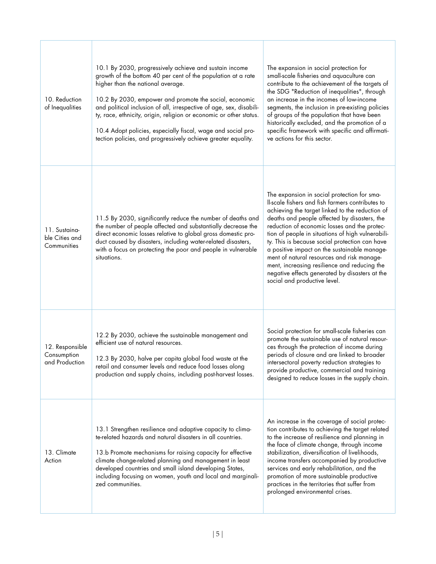| 10. Reduction<br>of Inequalities                 | 10.1 By 2030, progressively achieve and sustain income<br>growth of the bottom 40 per cent of the population at a rate<br>higher than the national average.<br>10.2 By 2030, empower and promote the social, economic<br>and political inclusion of all, irrespective of age, sex, disabili-<br>ty, race, ethnicity, origin, religion or economic or other status.<br>10.4 Adopt policies, especially fiscal, wage and social pro-<br>tection policies, and progressively achieve greater equality. | The expansion in social protection for<br>small-scale fisheries and aquaculture can<br>contribute to the achievement of the targets of<br>the SDG "Reduction of inequalities", through<br>an increase in the incomes of low-income<br>segments, the inclusion in pre-existing policies<br>of groups of the population that have been<br>historically excluded, and the promotion of a<br>specific framework with specific and affirmati-<br>ve actions for this sector.                                                                                                                   |
|--------------------------------------------------|-----------------------------------------------------------------------------------------------------------------------------------------------------------------------------------------------------------------------------------------------------------------------------------------------------------------------------------------------------------------------------------------------------------------------------------------------------------------------------------------------------|-------------------------------------------------------------------------------------------------------------------------------------------------------------------------------------------------------------------------------------------------------------------------------------------------------------------------------------------------------------------------------------------------------------------------------------------------------------------------------------------------------------------------------------------------------------------------------------------|
| 11. Sustaina-<br>ble Cities and<br>Communities   | 11.5 By 2030, significantly reduce the number of deaths and<br>the number of people affected and substantially decrease the<br>direct economic losses relative to global gross domestic pro-<br>duct caused by disasters, including water-related disasters,<br>with a focus on protecting the poor and people in vulnerable<br>situations.                                                                                                                                                         | The expansion in social protection for sma-<br>Il-scale fishers and fish farmers contributes to<br>achieving the target linked to the reduction of<br>deaths and people affected by disasters, the<br>reduction of economic losses and the protec-<br>tion of people in situations of high vulnerabili-<br>ty. This is because social protection can have<br>a positive impact on the sustainable manage-<br>ment of natural resources and risk manage-<br>ment, increasing resilience and reducing the<br>negative effects generated by disasters at the<br>social and productive level. |
| 12. Responsible<br>Consumption<br>and Production | 12.2 By 2030, achieve the sustainable management and<br>efficient use of natural resources.<br>12.3 By 2030, halve per capita global food waste at the<br>retail and consumer levels and reduce food losses along<br>production and supply chains, including post-harvest losses.                                                                                                                                                                                                                   | Social protection for small-scale fisheries can<br>promote the sustainable use of natural resour-<br>ces through the protection of income during<br>periods of closure and are linked to broader<br>intersectoral poverty reduction strategies to<br>provide productive, commercial and training<br>designed to reduce losses in the supply chain.                                                                                                                                                                                                                                        |
| 13. Climate<br>Action                            | 13.1 Strengthen resilience and adaptive capacity to clima-<br>te-related hazards and natural disasters in all countries.<br>13.b Promote mechanisms for raising capacity for effective<br>climate change-related planning and management in least<br>developed countries and small island developing States,<br>including focusing on women, youth and local and marginali-<br>zed communities.                                                                                                     | An increase in the coverage of social protec-<br>tion contributes to achieving the target related<br>to the increase of resilience and planning in<br>the face of climate change, through income<br>stabilization, diversification of livelihoods,<br>income transfers accompanied by productive<br>services and early rehabilitation, and the<br>promotion of more sustainable productive<br>practices in the territories that suffer from<br>prolonged environmental crises.                                                                                                            |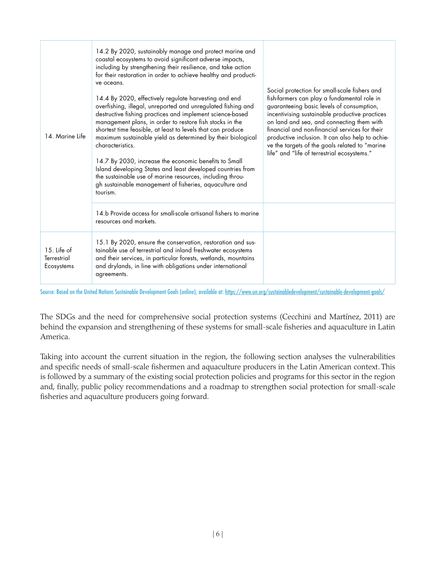| 14. Marine Life                          | 14.2 By 2020, sustainably manage and protect marine and<br>coastal ecosystems to avoid significant adverse impacts,<br>including by strengthening their resilience, and take action<br>for their restoration in order to achieve healthy and producti-<br>ve oceans.<br>14.4 By 2020, effectively regulate harvesting and end<br>overfishing, illegal, unreported and unregulated fishing and<br>destructive fishing practices and implement science-based<br>management plans, in order to restore fish stocks in the<br>shortest time feasible, at least to levels that can produce<br>maximum sustainable yield as determined by their biological<br>characteristics.<br>14.7 By 2030, increase the economic benefits to Small<br>Island developing States and least developed countries from<br>the sustainable use of marine resources, including throu-<br>gh sustainable management of fisheries, aquaculture and<br>tourism.<br>14.b Provide access for small-scale artisanal fishers to marine<br>resources and markets. | Social protection for small-scale fishers and<br>fish-farmers can play a fundamental role in<br>guaranteeing basic levels of consumption,<br>incentivising sustainable productive practices<br>on land and sea, and connecting them with<br>financial and non-financial services for their<br>productive inclusion. It can also help to achie-<br>ve the targets of the goals related to "marine<br>life" and "life of terrestrial ecosystems." |
|------------------------------------------|-----------------------------------------------------------------------------------------------------------------------------------------------------------------------------------------------------------------------------------------------------------------------------------------------------------------------------------------------------------------------------------------------------------------------------------------------------------------------------------------------------------------------------------------------------------------------------------------------------------------------------------------------------------------------------------------------------------------------------------------------------------------------------------------------------------------------------------------------------------------------------------------------------------------------------------------------------------------------------------------------------------------------------------|-------------------------------------------------------------------------------------------------------------------------------------------------------------------------------------------------------------------------------------------------------------------------------------------------------------------------------------------------------------------------------------------------------------------------------------------------|
| 15. Life of<br>Terrestrial<br>Ecosystems | 15.1 By 2020, ensure the conservation, restoration and sus-<br>tainable use of terrestrial and inland freshwater ecosystems<br>and their services, in particular forests, wetlands, mountains<br>and drylands, in line with obligations under international<br>agreements.                                                                                                                                                                                                                                                                                                                                                                                                                                                                                                                                                                                                                                                                                                                                                        |                                                                                                                                                                                                                                                                                                                                                                                                                                                 |

Source: Based on the United Nations Sustainable Development Goals (online), available at:<https://www.un.org/sustainabledevelopment/sustainable-development-goals/>

The SDGs and the need for comprehensive social protection systems (Cecchini and Martínez, 2011) are behind the expansion and strengthening of these systems for small-scale fisheries and aquaculture in Latin America.

Taking into account the current situation in the region, the following section analyses the vulnerabilities and specific needs of small-scale fishermen and aquaculture producers in the Latin American context. This is followed by a summary of the existing social protection policies and programs for this sector in the region and, finally, public policy recommendations and a roadmap to strengthen social protection for small-scale fisheries and aquaculture producers going forward.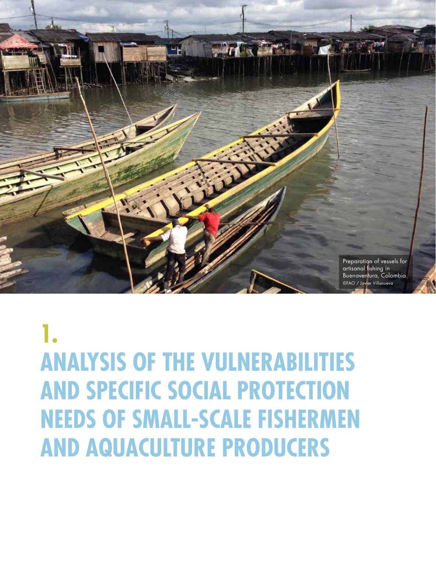

**1. ANALYSIS OF THE VULNERABILITIES AND SPECIFIC SOCIAL PROTECTION NEEDS OF SMALL-SCALE FISHERMEN AND AQUACULTURE PRODUCERS**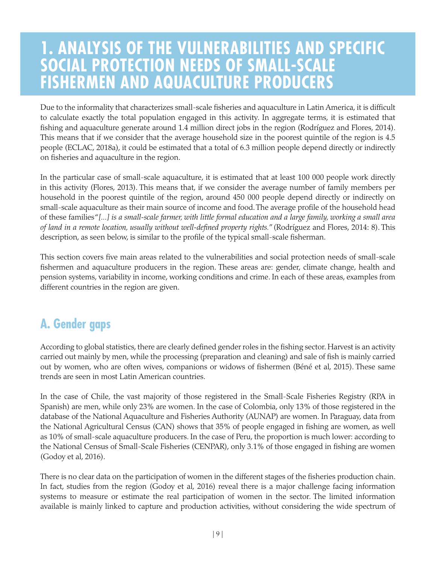### <span id="page-14-0"></span>**1. ANALYSIS OF THE VULNERABILITIES AND SPECIFIC SOCIAL PROTECTION NEEDS OF SMALL-SCALE FISHERMEN AND AQUACULTURE PRODUCERS**

Due to the informality that characterizes small-scale fisheries and aquaculture in Latin America, it is difficult to calculate exactly the total population engaged in this activity. In aggregate terms, it is estimated that fishing and aquaculture generate around 1.4 million direct jobs in the region (Rodríguez and Flores, 2014). This means that if we consider that the average household size in the poorest quintile of the region is 4.5 people (ECLAC, 2018a), it could be estimated that a total of 6.3 million people depend directly or indirectly on fisheries and aquaculture in the region.

In the particular case of small-scale aquaculture, it is estimated that at least 100 000 people work directly in this activity (Flores, 2013). This means that, if we consider the average number of family members per household in the poorest quintile of the region, around 450 000 people depend directly or indirectly on small-scale aquaculture as their main source of income and food. The average profile of the household head of these families "*[...] is a small-scale farmer, with little formal education and a large family, working a small area of land in a remote location, usually without well-defined property rights.*" (Rodríguez and Flores, 2014: 8). This description, as seen below, is similar to the profile of the typical small-scale fisherman.

This section covers five main areas related to the vulnerabilities and social protection needs of small-scale fishermen and aquaculture producers in the region. These areas are: gender, climate change, health and pension systems, variability in income, working conditions and crime. In each of these areas, examples from different countries in the region are given.

### **A. Gender gaps**

According to global statistics, there are clearly defined gender roles in the fishing sector. Harvest is an activity carried out mainly by men, while the processing (preparation and cleaning) and sale of fish is mainly carried out by women, who are often wives, companions or widows of fishermen (Béné et al, 2015). These same trends are seen in most Latin American countries.

In the case of Chile, the vast majority of those registered in the Small-Scale Fisheries Registry (RPA in Spanish) are men, while only 23% are women. In the case of Colombia, only 13% of those registered in the database of the National Aquaculture and Fisheries Authority (AUNAP) are women. In Paraguay, data from the National Agricultural Census (CAN) shows that 35% of people engaged in fishing are women, as well as 10% of small-scale aquaculture producers. In the case of Peru, the proportion is much lower: according to the National Census of Small-Scale Fisheries (CENPAR), only 3.1% of those engaged in fishing are women (Godoy et al, 2016).

There is no clear data on the participation of women in the different stages of the fisheries production chain. In fact, studies from the region (Godoy et al, 2016) reveal there is a major challenge facing information systems to measure or estimate the real participation of women in the sector. The limited information available is mainly linked to capture and production activities, without considering the wide spectrum of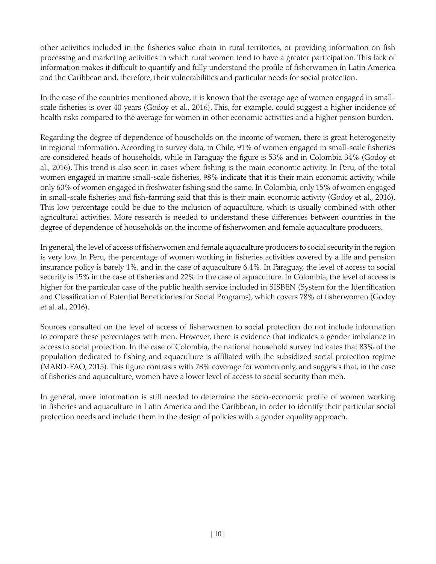other activities included in the fisheries value chain in rural territories, or providing information on fish processing and marketing activities in which rural women tend to have a greater participation. This lack of information makes it difficult to quantify and fully understand the profile of fisherwomen in Latin America and the Caribbean and, therefore, their vulnerabilities and particular needs for social protection.

In the case of the countries mentioned above, it is known that the average age of women engaged in smallscale fisheries is over 40 years (Godoy et al., 2016). This, for example, could suggest a higher incidence of health risks compared to the average for women in other economic activities and a higher pension burden.

Regarding the degree of dependence of households on the income of women, there is great heterogeneity in regional information. According to survey data, in Chile, 91% of women engaged in small-scale fisheries are considered heads of households, while in Paraguay the figure is 53% and in Colombia 34% (Godoy et al., 2016). This trend is also seen in cases where fishing is the main economic activity. In Peru, of the total women engaged in marine small-scale fisheries, 98% indicate that it is their main economic activity, while only 60% of women engaged in freshwater fishing said the same. In Colombia, only 15% of women engaged in small-scale fisheries and fish-farming said that this is their main economic activity (Godoy et al., 2016). This low percentage could be due to the inclusion of aquaculture, which is usually combined with other agricultural activities. More research is needed to understand these differences between countries in the degree of dependence of households on the income of fisherwomen and female aquaculture producers.

In general, the level of access of fisherwomen and female aquaculture producers to social security in the region is very low. In Peru, the percentage of women working in fisheries activities covered by a life and pension insurance policy is barely 1%, and in the case of aquaculture 6.4%. In Paraguay, the level of access to social security is 15% in the case of fisheries and 22% in the case of aquaculture. In Colombia, the level of access is higher for the particular case of the public health service included in SISBEN (System for the Identification and Classification of Potential Beneficiaries for Social Programs), which covers 78% of fisherwomen (Godoy et al. al., 2016).

Sources consulted on the level of access of fisherwomen to social protection do not include information to compare these percentages with men. However, there is evidence that indicates a gender imbalance in access to social protection. In the case of Colombia, the national household survey indicates that 83% of the population dedicated to fishing and aquaculture is affiliated with the subsidized social protection regime (MARD-FAO, 2015). This figure contrasts with 78% coverage for women only, and suggests that, in the case of fisheries and aquaculture, women have a lower level of access to social security than men.

In general, more information is still needed to determine the socio-economic profile of women working in fisheries and aquaculture in Latin America and the Caribbean, in order to identify their particular social protection needs and include them in the design of policies with a gender equality approach.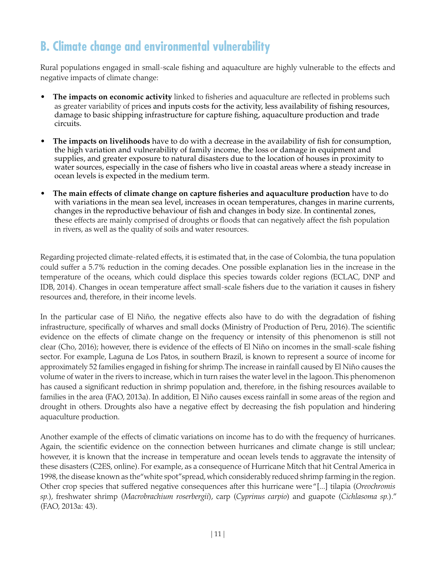### <span id="page-16-0"></span>**B. Climate change and environmental vulnerability**

Rural populations engaged in small-scale fishing and aquaculture are highly vulnerable to the effects and negative impacts of climate change:

- **The impacts on economic activity** linked to fisheries and aquaculture are reflected in problems such as greater variability of prices and inputs costs for the activity, less availability of fishing resources, damage to basic shipping infrastructure for capture fishing, aquaculture production and trade circuits.
- **The impacts on livelihoods** have to do with a decrease in the availability of fish for consumption, the high variation and vulnerability of family income, the loss or damage in equipment and supplies, and greater exposure to natural disasters due to the location of houses in proximity to water sources, especially in the case of fishers who live in coastal areas where a steady increase in ocean levels is expected in the medium term.
- **The main effects of climate change on capture fisheries and aquaculture production** have to do with variations in the mean sea level, increases in ocean temperatures, changes in marine currents, changes in the reproductive behaviour of fish and changes in body size. In continental zones, these effects are mainly comprised of droughts or floods that can negatively affect the fish population in rivers, as well as the quality of soils and water resources.

Regarding projected climate-related effects, it is estimated that, in the case of Colombia, the tuna population could suffer a 5.7% reduction in the coming decades. One possible explanation lies in the increase in the temperature of the oceans, which could displace this species towards colder regions (ECLAC, DNP and IDB, 2014). Changes in ocean temperature affect small-scale fishers due to the variation it causes in fishery resources and, therefore, in their income levels.

In the particular case of El Niño, the negative effects also have to do with the degradation of fishing infrastructure, specifically of wharves and small docks (Ministry of Production of Peru, 2016). The scientific evidence on the effects of climate change on the frequency or intensity of this phenomenon is still not clear (Cho, 2016); however, there is evidence of the effects of El Niño on incomes in the small-scale fishing sector. For example, Laguna de Los Patos, in southern Brazil, is known to represent a source of income for approximately 52 families engaged in fishing for shrimp. The increase in rainfall caused by El Niño causes the volume of water in the rivers to increase, which in turn raises the water level in the lagoon. This phenomenon has caused a significant reduction in shrimp population and, therefore, in the fishing resources available to families in the area (FAO, 2013a). In addition, El Niño causes excess rainfall in some areas of the region and drought in others. Droughts also have a negative effect by decreasing the fish population and hindering aquaculture production.

Another example of the effects of climatic variations on income has to do with the frequency of hurricanes. Again, the scientific evidence on the connection between hurricanes and climate change is still unclear; however, it is known that the increase in temperature and ocean levels tends to aggravate the intensity of these disasters (C2ES, online). For example, as a consequence of Hurricane Mitch that hit Central America in 1998, the disease known as the "white spot" spread, which considerably reduced shrimp farming in the region. Other crop species that suffered negative consequences after this hurricane were "[...] tilapia (*Oreochromis sp.*), freshwater shrimp (*Macrobrachium roserbergii*), carp (*Cyprinus carpio*) and guapote (*Cichlasoma sp.*)." (FAO, 2013a: 43).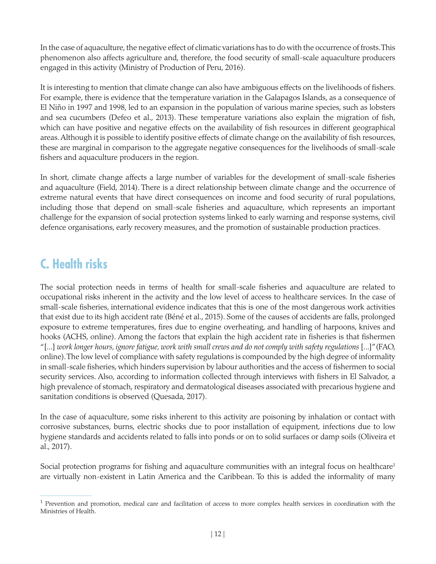<span id="page-17-0"></span>In the case of aquaculture, the negative effect of climatic variations has to do with the occurrence of frosts. This phenomenon also affects agriculture and, therefore, the food security of small-scale aquaculture producers engaged in this activity (Ministry of Production of Peru, 2016).

It is interesting to mention that climate change can also have ambiguous effects on the livelihoods of fishers. For example, there is evidence that the temperature variation in the Galapagos Islands, as a consequence of El Niño in 1997 and 1998, led to an expansion in the population of various marine species, such as lobsters and sea cucumbers (Defeo et al., 2013). These temperature variations also explain the migration of fish, which can have positive and negative effects on the availability of fish resources in different geographical areas. Although it is possible to identify positive effects of climate change on the availability of fish resources, these are marginal in comparison to the aggregate negative consequences for the livelihoods of small-scale fishers and aquaculture producers in the region.

In short, climate change affects a large number of variables for the development of small-scale fisheries and aquaculture (Field, 2014). There is a direct relationship between climate change and the occurrence of extreme natural events that have direct consequences on income and food security of rural populations, including those that depend on small-scale fisheries and aquaculture, which represents an important challenge for the expansion of social protection systems linked to early warning and response systems, civil defence organisations, early recovery measures, and the promotion of sustainable production practices.

### **C. Health risks**

The social protection needs in terms of health for small-scale fisheries and aquaculture are related to occupational risks inherent in the activity and the low level of access to healthcare services. In the case of small-scale fisheries, international evidence indicates that this is one of the most dangerous work activities that exist due to its high accident rate (Béné et al., 2015). Some of the causes of accidents are falls, prolonged exposure to extreme temperatures, fires due to engine overheating, and handling of harpoons, knives and hooks (ACHS, online). Among the factors that explain the high accident rate in fisheries is that fishermen "[...] *work longer hours, ignore fatigue, work with small crews and do not comply with safety regulations* [...]" (FAO, online). The low level of compliance with safety regulations is compounded by the high degree of informality in small-scale fisheries, which hinders supervision by labour authorities and the access of fishermen to social security services. Also, according to information collected through interviews with fishers in El Salvador, a high prevalence of stomach, respiratory and dermatological diseases associated with precarious hygiene and sanitation conditions is observed (Quesada, 2017).

In the case of aquaculture, some risks inherent to this activity are poisoning by inhalation or contact with corrosive substances, burns, electric shocks due to poor installation of equipment, infections due to low hygiene standards and accidents related to falls into ponds or on to solid surfaces or damp soils (Oliveira et al., 2017).

Social protection programs for fishing and aquaculture communities with an integral focus on healthcare<sup>1</sup> are virtually non-existent in Latin America and the Caribbean. To this is added the informality of many

<sup>&</sup>lt;sup>1</sup> Prevention and promotion, medical care and facilitation of access to more complex health services in coordination with the Ministries of Health.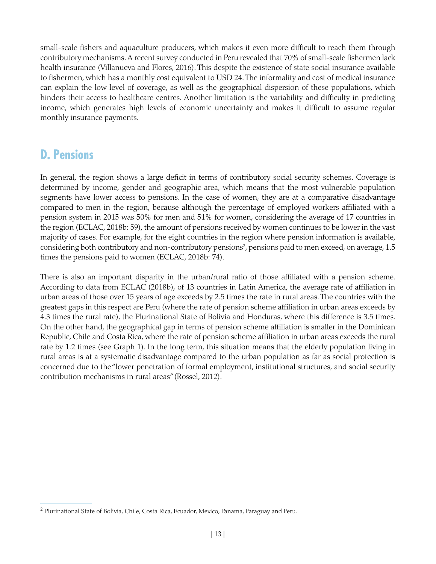<span id="page-18-0"></span>small-scale fishers and aquaculture producers, which makes it even more difficult to reach them through contributory mechanisms. A recent survey conducted in Peru revealed that 70% of small-scale fishermen lack health insurance (Villanueva and Flores, 2016). This despite the existence of state social insurance available to fishermen, which has a monthly cost equivalent to USD 24. The informality and cost of medical insurance can explain the low level of coverage, as well as the geographical dispersion of these populations, which hinders their access to healthcare centres. Another limitation is the variability and difficulty in predicting income, which generates high levels of economic uncertainty and makes it difficult to assume regular monthly insurance payments.

### **D. Pensions**

In general, the region shows a large deficit in terms of contributory social security schemes. Coverage is determined by income, gender and geographic area, which means that the most vulnerable population segments have lower access to pensions. In the case of women, they are at a comparative disadvantage compared to men in the region, because although the percentage of employed workers affiliated with a pension system in 2015 was 50% for men and 51% for women, considering the average of 17 countries in the region (ECLAC, 2018b: 59), the amount of pensions received by women continues to be lower in the vast majority of cases. For example, for the eight countries in the region where pension information is available, considering both contributory and non-contributory pensions $^2$ , pensions paid to men exceed, on average, 1.5 times the pensions paid to women (ECLAC, 2018b: 74).

There is also an important disparity in the urban/rural ratio of those affiliated with a pension scheme. According to data from ECLAC (2018b), of 13 countries in Latin America, the average rate of affiliation in urban areas of those over 15 years of age exceeds by 2.5 times the rate in rural areas. The countries with the greatest gaps in this respect are Peru (where the rate of pension scheme affiliation in urban areas exceeds by 4.3 times the rural rate), the Plurinational State of Bolivia and Honduras, where this difference is 3.5 times. On the other hand, the geographical gap in terms of pension scheme affiliation is smaller in the Dominican Republic, Chile and Costa Rica, where the rate of pension scheme affiliation in urban areas exceeds the rural rate by 1.2 times (see Graph 1). In the long term, this situation means that the elderly population living in rural areas is at a systematic disadvantage compared to the urban population as far as social protection is concerned due to the "lower penetration of formal employment, institutional structures, and social security contribution mechanisms in rural areas" (Rossel, 2012).

 $^2$  Plurinational State of Bolivia, Chile, Costa Rica, Ecuador, Mexico, Panama, Paraguay and Peru.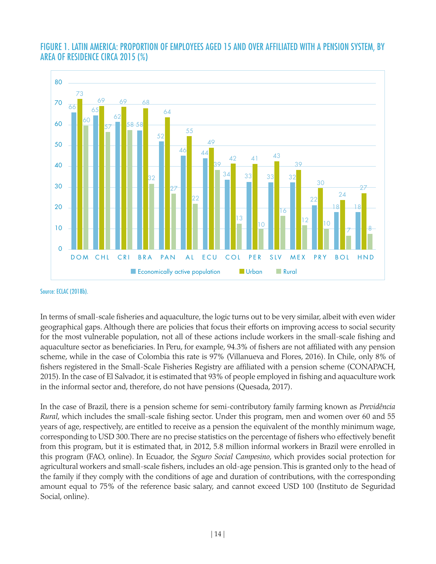### FIGURE 1. LATIN AMERICA: PROPORTION OF EMPLOYEES AGED 15 AND OVER AFFILIATED WITH A PENSION SYSTEM, BY AREA OF RESIDENCE CIRCA 2015 (%)



### Source: ECLAC (2018b).

In terms of small-scale fisheries and aquaculture, the logic turns out to be very similar, albeit with even wider geographical gaps. Although there are policies that focus their efforts on improving access to social security for the most vulnerable population, not all of these actions include workers in the small-scale fishing and aquaculture sector as beneficiaries. In Peru, for example, 94.3% of fishers are not affiliated with any pension scheme, while in the case of Colombia this rate is 97% (Villanueva and Flores, 2016). In Chile, only 8% of fishers registered in the Small-Scale Fisheries Registry are affiliated with a pension scheme (CONAPACH, 2015). In the case of El Salvador, it is estimated that 93% of people employed in fishing and aquaculture work in the informal sector and, therefore, do not have pensions (Quesada, 2017).

In the case of Brazil, there is a pension scheme for semi-contributory family farming known as *Previdência Rural*, which includes the small-scale fishing sector. Under this program, men and women over 60 and 55 years of age, respectively, are entitled to receive as a pension the equivalent of the monthly minimum wage, corresponding to USD 300. There are no precise statistics on the percentage of fishers who effectively benefit from this program, but it is estimated that, in 2012, 5.8 million informal workers in Brazil were enrolled in this program (FAO, online). In Ecuador, the *Seguro Social Campesino*, which provides social protection for agricultural workers and small-scale fishers, includes an old-age pension. This is granted only to the head of the family if they comply with the conditions of age and duration of contributions, with the corresponding amount equal to 75% of the reference basic salary, and cannot exceed USD 100 (Instituto de Seguridad Social, online).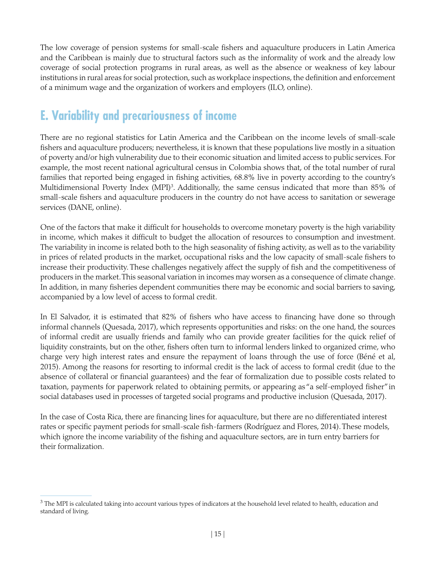<span id="page-20-0"></span>The low coverage of pension systems for small-scale fishers and aquaculture producers in Latin America and the Caribbean is mainly due to structural factors such as the informality of work and the already low coverage of social protection programs in rural areas, as well as the absence or weakness of key labour institutions in rural areas for social protection, such as workplace inspections, the definition and enforcement of a minimum wage and the organization of workers and employers (ILO, online).

### **E. Variability and precariousness of income**

There are no regional statistics for Latin America and the Caribbean on the income levels of small-scale fishers and aquaculture producers; nevertheless, it is known that these populations live mostly in a situation of poverty and/or high vulnerability due to their economic situation and limited access to public services. For example, the most recent national agricultural census in Colombia shows that, of the total number of rural families that reported being engaged in fishing activities, 68.8% live in poverty according to the country's Multidimensional Poverty Index (MPI)<sup>3</sup>. Additionally, the same census indicated that more than 85% of small-scale fishers and aquaculture producers in the country do not have access to sanitation or sewerage services (DANE, online).

One of the factors that make it difficult for households to overcome monetary poverty is the high variability in income, which makes it difficult to budget the allocation of resources to consumption and investment. The variability in income is related both to the high seasonality of fishing activity, as well as to the variability in prices of related products in the market, occupational risks and the low capacity of small-scale fishers to increase their productivity. These challenges negatively affect the supply of fish and the competitiveness of producers in the market. This seasonal variation in incomes may worsen as a consequence of climate change. In addition, in many fisheries dependent communities there may be economic and social barriers to saving, accompanied by a low level of access to formal credit.

In El Salvador, it is estimated that 82% of fishers who have access to financing have done so through informal channels (Quesada, 2017), which represents opportunities and risks: on the one hand, the sources of informal credit are usually friends and family who can provide greater facilities for the quick relief of liquidity constraints, but on the other, fishers often turn to informal lenders linked to organized crime, who charge very high interest rates and ensure the repayment of loans through the use of force (Béné et al, 2015). Among the reasons for resorting to informal credit is the lack of access to formal credit (due to the absence of collateral or financial guarantees) and the fear of formalization due to possible costs related to taxation, payments for paperwork related to obtaining permits, or appearing as "a self-employed fisher" in social databases used in processes of targeted social programs and productive inclusion (Quesada, 2017).

In the case of Costa Rica, there are financing lines for aquaculture, but there are no differentiated interest rates or specific payment periods for small-scale fish-farmers (Rodríguez and Flores, 2014). These models, which ignore the income variability of the fishing and aquaculture sectors, are in turn entry barriers for their formalization.

 $3$  The MPI is calculated taking into account various types of indicators at the household level related to health, education and standard of living.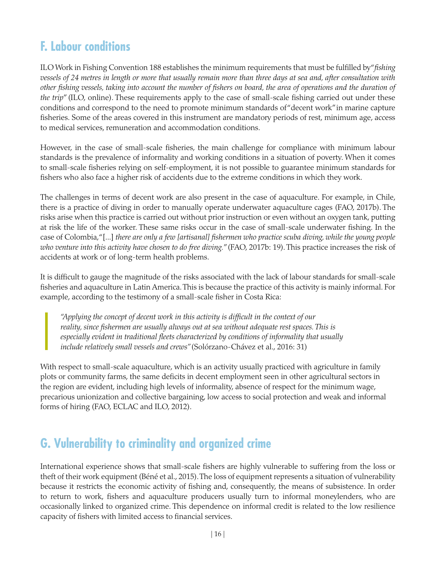### <span id="page-21-0"></span>**F. Labour conditions**

ILO Work in Fishing Convention 188 establishes the minimum requirements that must be fulfilled by "*fishing vessels of 24 metres in length or more that usually remain more than three days at sea and, after consultation with other fishing vessels, taking into account the number of fishers on board, the area of operations and the duration of the trip*" (ILO, online). These requirements apply to the case of small-scale fishing carried out under these conditions and correspond to the need to promote minimum standards of "decent work" in marine capture fisheries. Some of the areas covered in this instrument are mandatory periods of rest, minimum age, access to medical services, remuneration and accommodation conditions.

However, in the case of small-scale fisheries, the main challenge for compliance with minimum labour standards is the prevalence of informality and working conditions in a situation of poverty. When it comes to small-scale fisheries relying on self-employment, it is not possible to guarantee minimum standards for fishers who also face a higher risk of accidents due to the extreme conditions in which they work.

The challenges in terms of decent work are also present in the case of aquaculture. For example, in Chile, there is a practice of diving in order to manually operate underwater aquaculture cages (FAO, 2017b). The risks arise when this practice is carried out without prior instruction or even without an oxygen tank, putting at risk the life of the worker. These same risks occur in the case of small-scale underwater fishing. In the case of Colombia, "[...] *there are only a few [artisanal] fishermen who practice scuba diving, while the young people who venture into this activity have chosen to do free diving.*" (FAO, 2017b: 19). This practice increases the risk of accidents at work or of long-term health problems.

It is difficult to gauge the magnitude of the risks associated with the lack of labour standards for small-scale fisheries and aquaculture in Latin America. This is because the practice of this activity is mainly informal. For example, according to the testimony of a small-scale fisher in Costa Rica:

*"Applying the concept of decent work in this activity is difficult in the context of our*  reality, since fishermen are usually always out at sea without adequate rest spaces. This is *especially evident in traditional fleets characterized by conditions of informality that usually include relatively small vessels and crews"* (Solórzano-Chávez et al., 2016: 31)

With respect to small-scale aquaculture, which is an activity usually practiced with agriculture in family plots or community farms, the same deficits in decent employment seen in other agricultural sectors in the region are evident, including high levels of informality, absence of respect for the minimum wage, precarious unionization and collective bargaining, low access to social protection and weak and informal forms of hiring (FAO, ECLAC and ILO, 2012).

### **G. Vulnerability to criminality and organized crime**

International experience shows that small-scale fishers are highly vulnerable to suffering from the loss or theft of their work equipment (Béné et al., 2015). The loss of equipment represents a situation of vulnerability because it restricts the economic activity of fishing and, consequently, the means of subsistence. In order to return to work, fishers and aquaculture producers usually turn to informal moneylenders, who are occasionally linked to organized crime. This dependence on informal credit is related to the low resilience capacity of fishers with limited access to financial services.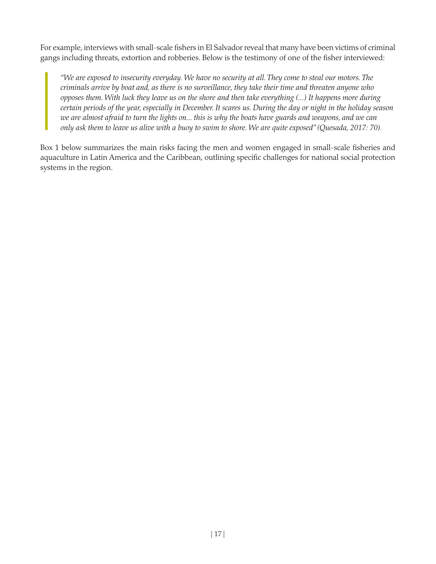For example, interviews with small-scale fishers in El Salvador reveal that many have been victims of criminal gangs including threats, extortion and robberies. Below is the testimony of one of the fisher interviewed:

*"We are exposed to insecurity everyday. We have no security at all. They come to steal our motors. The criminals arrive by boat and, as there is no surveillance, they take their time and threaten anyone who opposes them. With luck they leave us on the shore and then take everything (...) It happens more during certain periods of the year, especially in December. It scares us. During the day or night in the holiday season we are almost afraid to turn the lights on... this is why the boats have guards and weapons, and we can only ask them to leave us alive with a buoy to swim to shore. We are quite exposed" (Quesada, 2017: 70).*

Box 1 below summarizes the main risks facing the men and women engaged in small-scale fisheries and aquaculture in Latin America and the Caribbean, outlining specific challenges for national social protection systems in the region.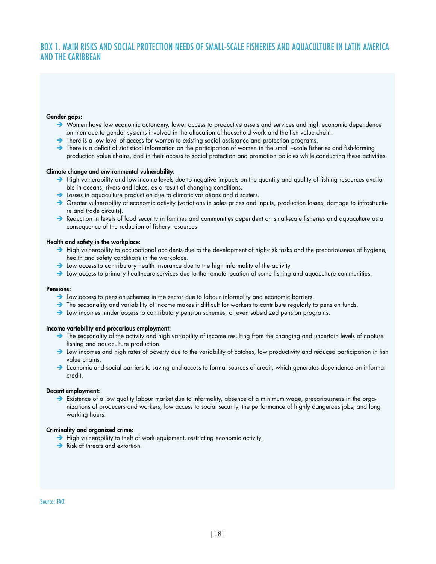### BOX 1. MAIN RISKS AND SOCIAL PROTECTION NEEDS OF SMALL-SCALE FISHERIES AND AQUACULTURE IN LATIN AMERICA AND THE CARIBBEAN

#### Gender gaps:

- è Women have low economic autonomy, lower access to productive assets and services and high economic dependence on men due to gender systems involved in the allocation of household work and the fish value chain.
- There is a low level of access for women to existing social assistance and protection programs.
- è There is a deficit of statistical information on the participation of women in the small –scale fisheries and fish-farming production value chains, and in their access to social protection and promotion policies while conducting these activities.

#### Climate change and environmental vulnerability:

- $\rightarrow$  High vulnerability and low-income levels due to negative impacts on the quantity and quality of fishing resources available in oceans, rivers and lakes, as a result of changing conditions.
- Losses in aquaculture production due to climatic variations and disasters.
- è Greater vulnerability of economic activity (variations in sales prices and inputs, production losses, damage to infrastructure and trade circuits).
- è Reduction in levels of food security in families and communities dependent on small-scale fisheries and aquaculture as a consequence of the reduction of fishery resources.

#### Health and safety in the workplace:

- $\rightarrow$  High vulnerability to occupational accidents due to the development of high-risk tasks and the precariousness of hygiene, health and safety conditions in the workplace.
- è Low access to contributory health insurance due to the high informality of the activity.
- è Low access to primary healthcare services due to the remote location of some fishing and aquaculture communities.

#### Pensions:

- $\rightarrow$  Low access to pension schemes in the sector due to labour informality and economic barriers.
- è The seasonality and variability of income makes it difficult for workers to contribute regularly to pension funds.
- è Low incomes hinder access to contributory pension schemes, or even subsidized pension programs.

#### Income variability and precarious employment:

- $\rightarrow$  The seasonality of the activity and high variability of income resulting from the changing and uncertain levels of capture fishing and aquaculture production.
- è Low incomes and high rates of poverty due to the variability of catches, low productivity and reduced participation in fish value chains.
- è Economic and social barriers to saving and access to formal sources of credit, which generates dependence on informal credit.

#### Decent employment:

 $\rightarrow$  Existence of a low quality labour market due to informality, absence of a minimum wage, precariousness in the organizations of producers and workers, low access to social security, the performance of highly dangerous jobs, and long working hours.

#### Criminality and organized crime:

- $\rightarrow$  High vulnerability to theft of work equipment, restricting economic activity.
- $\rightarrow$  Risk of threats and extortion.

Source: FAO.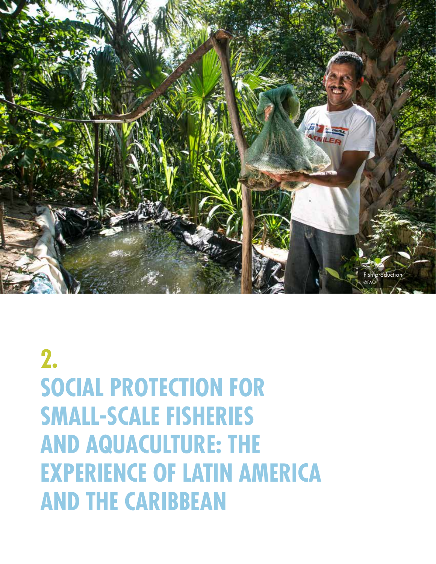

**2. SOCIAL PROTECTION FOR SMALL-SCALE FISHERIES AND AQUACULTURE: THE EXPERIENCE OF LATIN AMERICA AND THE CARIBBEAN**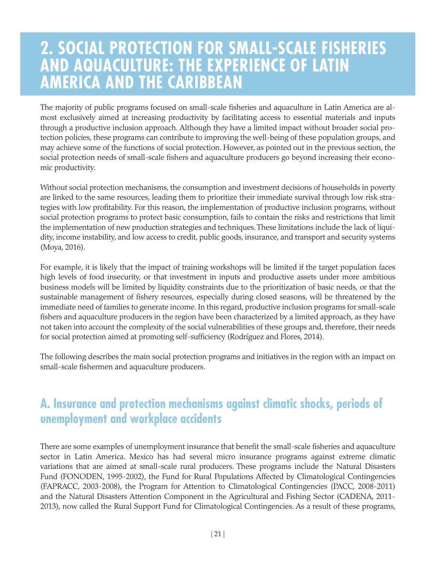### <span id="page-26-0"></span>**2. SOCIAL PROTECTION FOR SMALL-SCALE FISHERIES AND AQUACULTURE: THE EXPERIENCE OF LATIN AMERICA AND THE CARIBBEAN**

The majority of public programs focused on small-scale fisheries and aquaculture in Latin America are almost exclusively aimed at increasing productivity by facilitating access to essential materials and inputs through a productive inclusion approach. Although they have a limited impact without broader social protection policies, these programs can contribute to improving the well-being of these population groups, and may achieve some of the functions of social protection. However, as pointed out in the previous section, the social protection needs of small-scale fishers and aquaculture producers go beyond increasing their economic productivity.

Without social protection mechanisms, the consumption and investment decisions of households in poverty are linked to the same resources, leading them to prioritize their immediate survival through low risk strategies with low profitability. For this reason, the implementation of productive inclusion programs, without social protection programs to protect basic consumption, fails to contain the risks and restrictions that limit the implementation of new production strategies and techniques. These limitations include the lack of liquidity, income instability, and low access to credit, public goods, insurance, and transport and security systems (Moya, 2016).

For example, it is likely that the impact of training workshops will be limited if the target population faces high levels of food insecurity, or that investment in inputs and productive assets under more ambitious business models will be limited by liquidity constraints due to the prioritization of basic needs, or that the sustainable management of fishery resources, especially during closed seasons, will be threatened by the immediate need of families to generate income. In this regard, productive inclusion programs for small-scale fishers and aquaculture producers in the region have been characterized by a limited approach, as they have not taken into account the complexity of the social vulnerabilities of these groups and, therefore, their needs for social protection aimed at promoting self-sufficiency (Rodríguez and Flores, 2014).

The following describes the main social protection programs and initiatives in the region with an impact on small-scale fishermen and aquaculture producers.

### **A. Insurance and protection mechanisms against climatic shocks, periods of unemployment and workplace accidents**

There are some examples of unemployment insurance that benefit the small-scale fisheries and aquaculture sector in Latin America. Mexico has had several micro insurance programs against extreme climatic variations that are aimed at small-scale rural producers. These programs include the Natural Disasters Fund (FONODEN, 1995-2002), the Fund for Rural Populations Affected by Climatological Contingencies (FAPRACC, 2003-2008), the Program for Attention to Climatological Contingencies (PACC, 2008-2011) and the Natural Disasters Attention Component in the Agricultural and Fishing Sector (CADENA, 2011- 2013), now called the Rural Support Fund for Climatological Contingencies. As a result of these programs,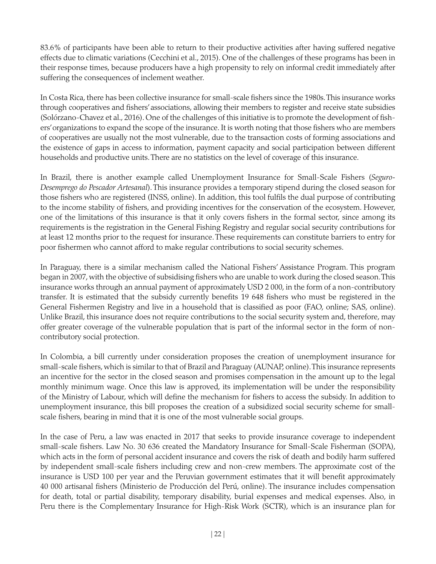83.6% of participants have been able to return to their productive activities after having suffered negative effects due to climatic variations (Cecchini et al., 2015). One of the challenges of these programs has been in their response times, because producers have a high propensity to rely on informal credit immediately after suffering the consequences of inclement weather.

In Costa Rica, there has been collective insurance for small-scale fishers since the 1980s. This insurance works through cooperatives and fishers' associations, allowing their members to register and receive state subsidies (Solórzano-Chavez et al., 2016). One of the challenges of this initiative is to promote the development of fishers' organizations to expand the scope of the insurance. It is worth noting that those fishers who are members of cooperatives are usually not the most vulnerable, due to the transaction costs of forming associations and the existence of gaps in access to information, payment capacity and social participation between different households and productive units. There are no statistics on the level of coverage of this insurance.

In Brazil, there is another example called Unemployment Insurance for Small-Scale Fishers (*Seguro-Desemprego do Pescador Artesanal*). This insurance provides a temporary stipend during the closed season for those fishers who are registered (INSS, online). In addition, this tool fulfils the dual purpose of contributing to the income stability of fishers, and providing incentives for the conservation of the ecosystem. However, one of the limitations of this insurance is that it only covers fishers in the formal sector, since among its requirements is the registration in the General Fishing Registry and regular social security contributions for at least 12 months prior to the request for insurance. These requirements can constitute barriers to entry for poor fishermen who cannot afford to make regular contributions to social security schemes.

In Paraguay, there is a similar mechanism called the National Fishers' Assistance Program. This program began in 2007, with the objective of subsidising fishers who are unable to work during the closed season. This insurance works through an annual payment of approximately USD 2 000, in the form of a non-contributory transfer. It is estimated that the subsidy currently benefits 19 648 fishers who must be registered in the General Fishermen Registry and live in a household that is classified as poor (FAO, online; SAS, online). Unlike Brazil, this insurance does not require contributions to the social security system and, therefore, may offer greater coverage of the vulnerable population that is part of the informal sector in the form of noncontributory social protection.

In Colombia, a bill currently under consideration proposes the creation of unemployment insurance for small-scale fishers, which is similar to that of Brazil and Paraguay (AUNAP, online). This insurance represents an incentive for the sector in the closed season and promises compensation in the amount up to the legal monthly minimum wage. Once this law is approved, its implementation will be under the responsibility of the Ministry of Labour, which will define the mechanism for fishers to access the subsidy. In addition to unemployment insurance, this bill proposes the creation of a subsidized social security scheme for smallscale fishers, bearing in mind that it is one of the most vulnerable social groups.

In the case of Peru, a law was enacted in 2017 that seeks to provide insurance coverage to independent small-scale fishers. Law No. 30 636 created the Mandatory Insurance for Small-Scale Fisherman (SOPA), which acts in the form of personal accident insurance and covers the risk of death and bodily harm suffered by independent small-scale fishers including crew and non-crew members. The approximate cost of the insurance is USD 100 per year and the Peruvian government estimates that it will benefit approximately 40 000 artisanal fishers (Ministerio de Producción del Perú, online). The insurance includes compensation for death, total or partial disability, temporary disability, burial expenses and medical expenses. Also, in Peru there is the Complementary Insurance for High-Risk Work (SCTR), which is an insurance plan for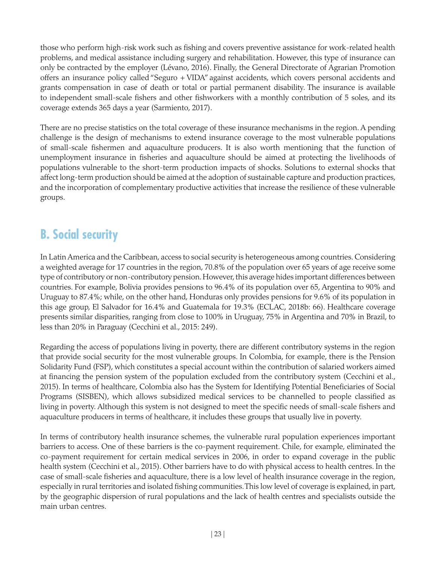<span id="page-28-0"></span>those who perform high-risk work such as fishing and covers preventive assistance for work-related health problems, and medical assistance including surgery and rehabilitation. However, this type of insurance can only be contracted by the employer (Lévano, 2016). Finally, the General Directorate of Agrarian Promotion offers an insurance policy called "Seguro + VIDA" against accidents, which covers personal accidents and grants compensation in case of death or total or partial permanent disability. The insurance is available to independent small-scale fishers and other fishworkers with a monthly contribution of 5 soles, and its coverage extends 365 days a year (Sarmiento, 2017).

There are no precise statistics on the total coverage of these insurance mechanisms in the region. A pending challenge is the design of mechanisms to extend insurance coverage to the most vulnerable populations of small-scale fishermen and aquaculture producers. It is also worth mentioning that the function of unemployment insurance in fisheries and aquaculture should be aimed at protecting the livelihoods of populations vulnerable to the short-term production impacts of shocks. Solutions to external shocks that affect long-term production should be aimed at the adoption of sustainable capture and production practices, and the incorporation of complementary productive activities that increase the resilience of these vulnerable groups.

### **B. Social security**

In Latin America and the Caribbean, access to social security is heterogeneous among countries. Considering a weighted average for 17 countries in the region, 70.8% of the population over 65 years of age receive some type of contributory or non-contributory pension. However, this average hides important differences between countries. For example, Bolivia provides pensions to 96.4% of its population over 65, Argentina to 90% and Uruguay to 87.4%; while, on the other hand, Honduras only provides pensions for 9.6% of its population in this age group, El Salvador for 16.4% and Guatemala for 19.3% (ECLAC, 2018b: 66). Healthcare coverage presents similar disparities, ranging from close to 100% in Uruguay, 75% in Argentina and 70% in Brazil, to less than 20% in Paraguay (Cecchini et al., 2015: 249).

Regarding the access of populations living in poverty, there are different contributory systems in the region that provide social security for the most vulnerable groups. In Colombia, for example, there is the Pension Solidarity Fund (FSP), which constitutes a special account within the contribution of salaried workers aimed at financing the pension system of the population excluded from the contributory system (Cecchini et al., 2015). In terms of healthcare, Colombia also has the System for Identifying Potential Beneficiaries of Social Programs (SISBEN), which allows subsidized medical services to be channelled to people classified as living in poverty. Although this system is not designed to meet the specific needs of small-scale fishers and aquaculture producers in terms of healthcare, it includes these groups that usually live in poverty.

In terms of contributory health insurance schemes, the vulnerable rural population experiences important barriers to access. One of these barriers is the co-payment requirement. Chile, for example, eliminated the co-payment requirement for certain medical services in 2006, in order to expand coverage in the public health system (Cecchini et al., 2015). Other barriers have to do with physical access to health centres. In the case of small-scale fisheries and aquaculture, there is a low level of health insurance coverage in the region, especially in rural territories and isolated fishing communities. This low level of coverage is explained, in part, by the geographic dispersion of rural populations and the lack of health centres and specialists outside the main urban centres.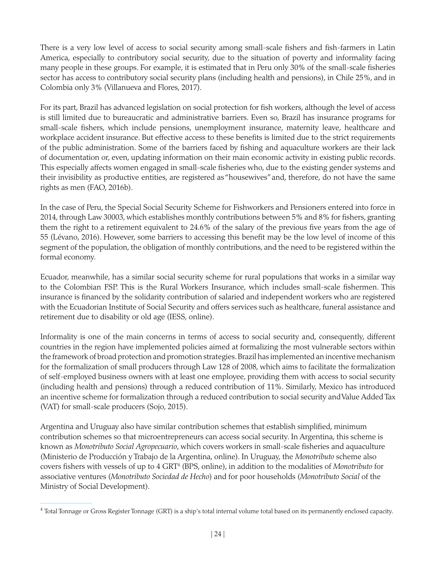There is a very low level of access to social security among small-scale fishers and fish-farmers in Latin America, especially to contributory social security, due to the situation of poverty and informality facing many people in these groups. For example, it is estimated that in Peru only 30% of the small-scale fisheries sector has access to contributory social security plans (including health and pensions), in Chile 25%, and in Colombia only 3% (Villanueva and Flores, 2017).

For its part, Brazil has advanced legislation on social protection for fish workers, although the level of access is still limited due to bureaucratic and administrative barriers. Even so, Brazil has insurance programs for small-scale fishers, which include pensions, unemployment insurance, maternity leave, healthcare and workplace accident insurance. But effective access to these benefits is limited due to the strict requirements of the public administration. Some of the barriers faced by fishing and aquaculture workers are their lack of documentation or, even, updating information on their main economic activity in existing public records. This especially affects women engaged in small-scale fisheries who, due to the existing gender systems and their invisibility as productive entities, are registered as "housewives" and, therefore, do not have the same rights as men (FAO, 2016b).

In the case of Peru, the Special Social Security Scheme for Fishworkers and Pensioners entered into force in 2014, through Law 30003, which establishes monthly contributions between 5% and 8% for fishers, granting them the right to a retirement equivalent to 24.6% of the salary of the previous five years from the age of 55 (Lévano, 2016). However, some barriers to accessing this benefit may be the low level of income of this segment of the population, the obligation of monthly contributions, and the need to be registered within the formal economy.

Ecuador, meanwhile, has a similar social security scheme for rural populations that works in a similar way to the Colombian FSP. This is the Rural Workers Insurance, which includes small-scale fishermen. This insurance is financed by the solidarity contribution of salaried and independent workers who are registered with the Ecuadorian Institute of Social Security and offers services such as healthcare, funeral assistance and retirement due to disability or old age (IESS, online).

Informality is one of the main concerns in terms of access to social security and, consequently, different countries in the region have implemented policies aimed at formalizing the most vulnerable sectors within the framework of broad protection and promotion strategies. Brazil has implemented an incentive mechanism for the formalization of small producers through Law 128 of 2008, which aims to facilitate the formalization of self-employed business owners with at least one employee, providing them with access to social security (including health and pensions) through a reduced contribution of 11%. Similarly, Mexico has introduced an incentive scheme for formalization through a reduced contribution to social security and Value Added Tax (VAT) for small-scale producers (Sojo, 2015).

Argentina and Uruguay also have similar contribution schemes that establish simplified, minimum contribution schemes so that microentrepreneurs can access social security. In Argentina, this scheme is known as *Monotributo Social Agropecuario*, which covers workers in small-scale fisheries and aquaculture (Ministerio de Producción y Trabajo de la Argentina, online). In Uruguay, the *Monotributo* scheme also covers fishers with vessels of up to 4 GRT4 (BPS, online), in addition to the modalities of *Monotributo* for associative ventures (*Monotributo Sociedad de Hecho*) and for poor households (*Monotributo Social* of the Ministry of Social Development).

 $4$  Total Tonnage or Gross Register Tonnage (GRT) is a ship's total internal volume total based on its permanently enclosed capacity.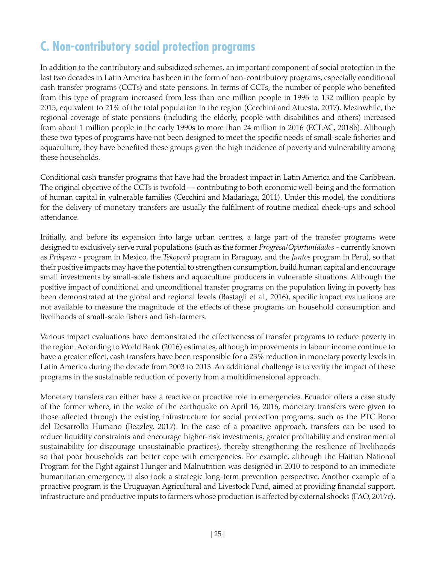### <span id="page-30-0"></span>**C. Non-contributory social protection programs**

In addition to the contributory and subsidized schemes, an important component of social protection in the last two decades in Latin America has been in the form of non-contributory programs, especially conditional cash transfer programs (CCTs) and state pensions. In terms of CCTs, the number of people who benefited from this type of program increased from less than one million people in 1996 to 132 million people by 2015, equivalent to 21% of the total population in the region (Cecchini and Atuesta, 2017). Meanwhile, the regional coverage of state pensions (including the elderly, people with disabilities and others) increased from about 1 million people in the early 1990s to more than 24 million in 2016 (ECLAC, 2018b). Although these two types of programs have not been designed to meet the specific needs of small-scale fisheries and aquaculture, they have benefited these groups given the high incidence of poverty and vulnerability among these households.

Conditional cash transfer programs that have had the broadest impact in Latin America and the Caribbean. The original objective of the CCTs is twofold — contributing to both economic well-being and the formation of human capital in vulnerable families (Cecchini and Madariaga, 2011). Under this model, the conditions for the delivery of monetary transfers are usually the fulfilment of routine medical check-ups and school attendance.

Initially, and before its expansion into large urban centres, a large part of the transfer programs were designed to exclusively serve rural populations (such as the former *Progresa*/*Oportunidades* - currently known as *Próspera* - program in Mexico, the *Tekoporâ* program in Paraguay, and the *Juntos* program in Peru), so that their positive impacts may have the potential to strengthen consumption, build human capital and encourage small investments by small-scale fishers and aquaculture producers in vulnerable situations. Although the positive impact of conditional and unconditional transfer programs on the population living in poverty has been demonstrated at the global and regional levels (Bastagli et al., 2016), specific impact evaluations are not available to measure the magnitude of the effects of these programs on household consumption and livelihoods of small-scale fishers and fish-farmers.

Various impact evaluations have demonstrated the effectiveness of transfer programs to reduce poverty in the region. According to World Bank (2016) estimates, although improvements in labour income continue to have a greater effect, cash transfers have been responsible for a 23% reduction in monetary poverty levels in Latin America during the decade from 2003 to 2013. An additional challenge is to verify the impact of these programs in the sustainable reduction of poverty from a multidimensional approach.

Monetary transfers can either have a reactive or proactive role in emergencies. Ecuador offers a case study of the former where, in the wake of the earthquake on April 16, 2016, monetary transfers were given to those affected through the existing infrastructure for social protection programs, such as the PTC Bono del Desarrollo Humano (Beazley, 2017). In the case of a proactive approach, transfers can be used to reduce liquidity constraints and encourage higher-risk investments, greater profitability and environmental sustainability (or discourage unsustainable practices), thereby strengthening the resilience of livelihoods so that poor households can better cope with emergencies. For example, although the Haitian National Program for the Fight against Hunger and Malnutrition was designed in 2010 to respond to an immediate humanitarian emergency, it also took a strategic long-term prevention perspective. Another example of a proactive program is the Uruguayan Agricultural and Livestock Fund, aimed at providing financial support, infrastructure and productive inputs to farmers whose production is affected by external shocks (FAO, 2017c).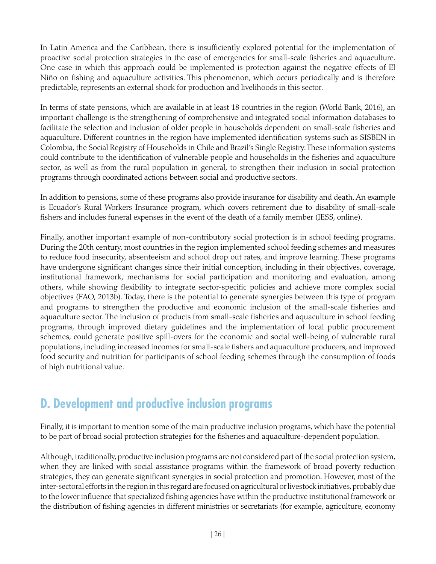<span id="page-31-0"></span>In Latin America and the Caribbean, there is insufficiently explored potential for the implementation of proactive social protection strategies in the case of emergencies for small-scale fisheries and aquaculture. One case in which this approach could be implemented is protection against the negative effects of El Niño on fishing and aquaculture activities. This phenomenon, which occurs periodically and is therefore predictable, represents an external shock for production and livelihoods in this sector.

In terms of state pensions, which are available in at least 18 countries in the region (World Bank, 2016), an important challenge is the strengthening of comprehensive and integrated social information databases to facilitate the selection and inclusion of older people in households dependent on small-scale fisheries and aquaculture. Different countries in the region have implemented identification systems such as SISBEN in Colombia, the Social Registry of Households in Chile and Brazil's Single Registry. These information systems could contribute to the identification of vulnerable people and households in the fisheries and aquaculture sector, as well as from the rural population in general, to strengthen their inclusion in social protection programs through coordinated actions between social and productive sectors.

In addition to pensions, some of these programs also provide insurance for disability and death. An example is Ecuador's Rural Workers Insurance program, which covers retirement due to disability of small-scale fishers and includes funeral expenses in the event of the death of a family member (IESS, online).

Finally, another important example of non-contributory social protection is in school feeding programs. During the 20th century, most countries in the region implemented school feeding schemes and measures to reduce food insecurity, absenteeism and school drop out rates, and improve learning. These programs have undergone significant changes since their initial conception, including in their objectives, coverage, institutional framework, mechanisms for social participation and monitoring and evaluation, among others, while showing flexibility to integrate sector-specific policies and achieve more complex social objectives (FAO, 2013b). Today, there is the potential to generate synergies between this type of program and programs to strengthen the productive and economic inclusion of the small-scale fisheries and aquaculture sector. The inclusion of products from small-scale fisheries and aquaculture in school feeding programs, through improved dietary guidelines and the implementation of local public procurement schemes, could generate positive spill-overs for the economic and social well-being of vulnerable rural populations, including increased incomes for small-scale fishers and aquaculture producers, and improved food security and nutrition for participants of school feeding schemes through the consumption of foods of high nutritional value.

### **D. Development and productive inclusion programs**

Finally, it is important to mention some of the main productive inclusion programs, which have the potential to be part of broad social protection strategies for the fisheries and aquaculture-dependent population.

Although, traditionally, productive inclusion programs are not considered part of the social protection system, when they are linked with social assistance programs within the framework of broad poverty reduction strategies, they can generate significant synergies in social protection and promotion. However, most of the inter-sectoral efforts in the region in this regard are focused on agricultural or livestock initiatives, probably due to the lower influence that specialized fishing agencies have within the productive institutional framework or the distribution of fishing agencies in different ministries or secretariats (for example, agriculture, economy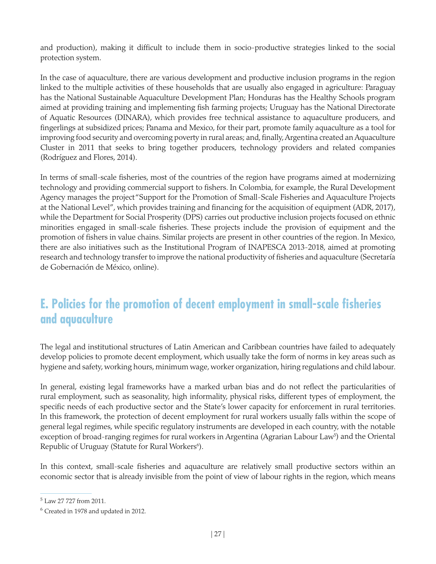<span id="page-32-0"></span>and production), making it difficult to include them in socio-productive strategies linked to the social protection system.

In the case of aquaculture, there are various development and productive inclusion programs in the region linked to the multiple activities of these households that are usually also engaged in agriculture: Paraguay has the National Sustainable Aquaculture Development Plan; Honduras has the Healthy Schools program aimed at providing training and implementing fish farming projects; Uruguay has the National Directorate of Aquatic Resources (DINARA), which provides free technical assistance to aquaculture producers, and fingerlings at subsidized prices; Panama and Mexico, for their part, promote family aquaculture as a tool for improving food security and overcoming poverty in rural areas; and, finally, Argentina created an Aquaculture Cluster in 2011 that seeks to bring together producers, technology providers and related companies (Rodríguez and Flores, 2014).

In terms of small-scale fisheries, most of the countries of the region have programs aimed at modernizing technology and providing commercial support to fishers. In Colombia, for example, the Rural Development Agency manages the project "Support for the Promotion of Small-Scale Fisheries and Aquaculture Projects at the National Level", which provides training and financing for the acquisition of equipment (ADR, 2017), while the Department for Social Prosperity (DPS) carries out productive inclusion projects focused on ethnic minorities engaged in small-scale fisheries. These projects include the provision of equipment and the promotion of fishers in value chains. Similar projects are present in other countries of the region. In Mexico, there are also initiatives such as the Institutional Program of INAPESCA 2013-2018, aimed at promoting research and technology transfer to improve the national productivity of fisheries and aquaculture (Secretaría de Gobernación de México, online).

### **E. Policies for the promotion of decent employment in small-scale fisheries and aquaculture**

The legal and institutional structures of Latin American and Caribbean countries have failed to adequately develop policies to promote decent employment, which usually take the form of norms in key areas such as hygiene and safety, working hours, minimum wage, worker organization, hiring regulations and child labour.

In general, existing legal frameworks have a marked urban bias and do not reflect the particularities of rural employment, such as seasonality, high informality, physical risks, different types of employment, the specific needs of each productive sector and the State's lower capacity for enforcement in rural territories. In this framework, the protection of decent employment for rural workers usually falls within the scope of general legal regimes, while specific regulatory instruments are developed in each country, with the notable exception of broad-ranging regimes for rural workers in Argentina (Agrarian Labour Law<sup>5</sup>) and the Oriental Republic of Uruguay (Statute for Rural Workers<sup>6</sup>).

In this context, small-scale fisheries and aquaculture are relatively small productive sectors within an economic sector that is already invisible from the point of view of labour rights in the region, which means

<sup>5</sup> Law 27 727 from 2011.

<sup>6</sup> Created in 1978 and updated in 2012.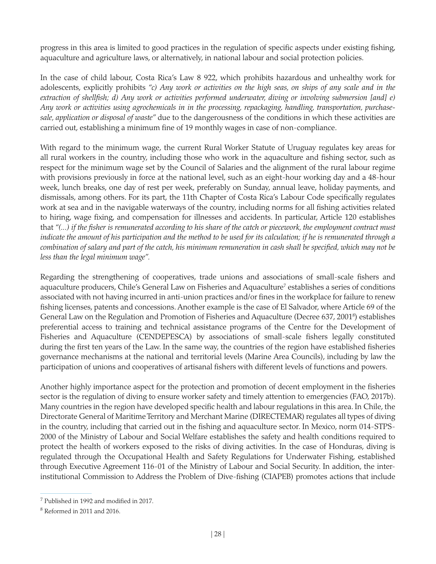progress in this area is limited to good practices in the regulation of specific aspects under existing fishing, aquaculture and agriculture laws, or alternatively, in national labour and social protection policies.

In the case of child labour, Costa Rica's Law 8 922, which prohibits hazardous and unhealthy work for adolescents, explicitly prohibits *"c) Any work or activities on the high seas, on ships of any scale and in the extraction of shellfish; d) Any work or activities performed underwater, diving or involving submersion [and] e) Any work or activities using agrochemicals in in the processing, repackaging, handling, transportation, purchasesale, application or disposal of waste"* due to the dangerousness of the conditions in which these activities are carried out, establishing a minimum fine of 19 monthly wages in case of non-compliance.

With regard to the minimum wage, the current Rural Worker Statute of Uruguay regulates key areas for all rural workers in the country, including those who work in the aquaculture and fishing sector, such as respect for the minimum wage set by the Council of Salaries and the alignment of the rural labour regime with provisions previously in force at the national level, such as an eight-hour working day and a 48-hour week, lunch breaks, one day of rest per week, preferably on Sunday, annual leave, holiday payments, and dismissals, among others. For its part, the 11th Chapter of Costa Rica's Labour Code specifically regulates work at sea and in the navigable waterways of the country, including norms for all fishing activities related to hiring, wage fixing, and compensation for illnesses and accidents. In particular, Article 120 establishes that *"(...) if the fisher is remunerated according to his share of the catch or piecework, the employment contract must indicate the amount of his participation and the method to be used for its calculation; if he is remunerated through a combination of salary and part of the catch, his minimum remuneration in cash shall be specified, which may not be less than the legal minimum wage".*

Regarding the strengthening of cooperatives, trade unions and associations of small-scale fishers and aquaculture producers, Chile's General Law on Fisheries and Aquaculture<sup>7</sup> establishes a series of conditions associated with not having incurred in anti-union practices and/or fines in the workplace for failure to renew fishing licenses, patents and concessions. Another example is the case of El Salvador, where Article 69 of the General Law on the Regulation and Promotion of Fisheries and Aquaculture (Decree 637, 20018 ) establishes preferential access to training and technical assistance programs of the Centre for the Development of Fisheries and Aquaculture (CENDEPESCA) by associations of small-scale fishers legally constituted during the first ten years of the Law. In the same way, the countries of the region have established fisheries governance mechanisms at the national and territorial levels (Marine Area Councils), including by law the participation of unions and cooperatives of artisanal fishers with different levels of functions and powers.

Another highly importance aspect for the protection and promotion of decent employment in the fisheries sector is the regulation of diving to ensure worker safety and timely attention to emergencies (FAO, 2017b). Many countries in the region have developed specific health and labour regulations in this area. In Chile, the Directorate General of Maritime Territory and Merchant Marine (DIRECTEMAR) regulates all types of diving in the country, including that carried out in the fishing and aquaculture sector. In Mexico, norm 014-STPS-2000 of the Ministry of Labour and Social Welfare establishes the safety and health conditions required to protect the health of workers exposed to the risks of diving activities. In the case of Honduras, diving is regulated through the Occupational Health and Safety Regulations for Underwater Fishing, established through Executive Agreement 116-01 of the Ministry of Labour and Social Security. In addition, the interinstitutional Commission to Address the Problem of Dive-fishing (CIAPEB) promotes actions that include

<sup>7</sup> Published in 1992 and modified in 2017.

<sup>8</sup> Reformed in 2011 and 2016.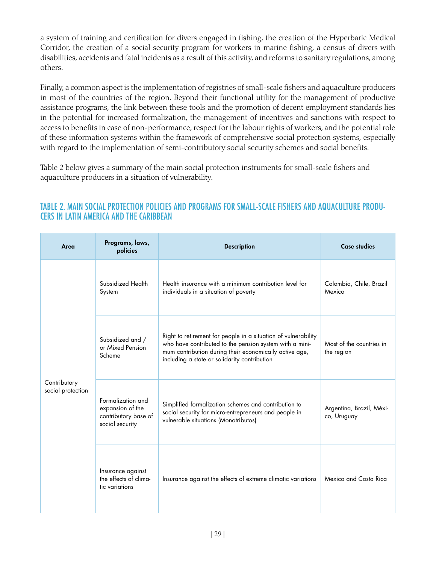a system of training and certification for divers engaged in fishing, the creation of the Hyperbaric Medical Corridor, the creation of a social security program for workers in marine fishing, a census of divers with disabilities, accidents and fatal incidents as a result of this activity, and reforms to sanitary regulations, among others.

Finally, a common aspect is the implementation of registries of small-scale fishers and aquaculture producers in most of the countries of the region. Beyond their functional utility for the management of productive assistance programs, the link between these tools and the promotion of decent employment standards lies in the potential for increased formalization, the management of incentives and sanctions with respect to access to benefits in case of non-performance, respect for the labour rights of workers, and the potential role of these information systems within the framework of comprehensive social protection systems, especially with regard to the implementation of semi-contributory social security schemes and social benefits.

Table 2 below gives a summary of the main social protection instruments for small-scale fishers and aquaculture producers in a situation of vulnerability.

| Area                              | Programs, laws,<br>policies                                                      | <b>Description</b>                                                                                                                                                                                                                  | Case studies                            |
|-----------------------------------|----------------------------------------------------------------------------------|-------------------------------------------------------------------------------------------------------------------------------------------------------------------------------------------------------------------------------------|-----------------------------------------|
| Contributory<br>social protection | Subsidized Health<br>System                                                      | Health insurance with a minimum contribution level for<br>individuals in a situation of poverty                                                                                                                                     | Colombia, Chile, Brazil<br>Mexico       |
|                                   | Subsidized and /<br>or Mixed Pension<br>Scheme                                   | Right to retirement for people in a situation of vulnerability<br>who have contributed to the pension system with a mini-<br>mum contribution during their economically active age,<br>including a state or solidarity contribution | Most of the countries in<br>the region  |
|                                   | Formalization and<br>expansion of the<br>contributory base of<br>social security | Simplified formalization schemes and contribution to<br>social security for micro-entrepreneurs and people in<br>vulnerable situations (Monotributos)                                                                               | Argentina, Brazil, Méxi-<br>co, Uruguay |
|                                   | Insurance against<br>the effects of clima-<br>tic variations                     | Insurance against the effects of extreme climatic variations                                                                                                                                                                        | Mexico and Costa Rica                   |

### TABLE 2. MAIN SOCIAL PROTECTION POLICIES AND PROGRAMS FOR SMALL-SCALE FISHERS AND AQUACULTURE PRODU-CERS IN LATIN AMERICA AND THE CARIBBEAN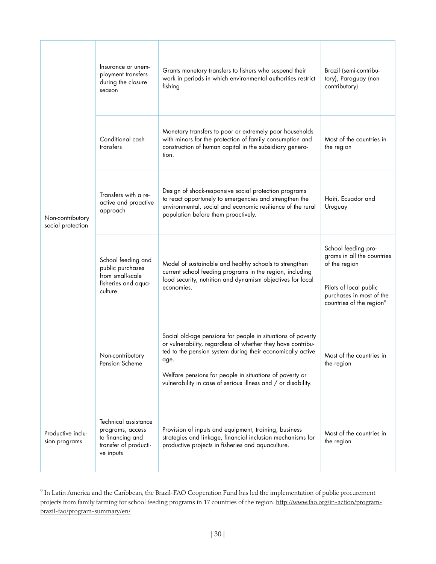| Non-contributory<br>social protection | Insurance or unem-<br>ployment transfers<br>during the closure<br>season                           | Grants monetary transfers to fishers who suspend their<br>work in periods in which environmental authorities restrict<br>fishing                                                                                                                                                                                             | Brazil (semi-contribu-<br>tory), Paraguay (non<br>contributory)                                                                                                  |
|---------------------------------------|----------------------------------------------------------------------------------------------------|------------------------------------------------------------------------------------------------------------------------------------------------------------------------------------------------------------------------------------------------------------------------------------------------------------------------------|------------------------------------------------------------------------------------------------------------------------------------------------------------------|
|                                       | Conditional cash<br>transfers                                                                      | Monetary transfers to poor or extremely poor households<br>with minors for the protection of family consumption and<br>construction of human capital in the subsidiary genera-<br>tion.                                                                                                                                      | Most of the countries in<br>the region                                                                                                                           |
|                                       | Transfers with a re-<br>active and proactive<br>approach                                           | Design of shock-responsive social protection programs<br>to react opportunely to emergencies and strengthen the<br>environmental, social and economic resilience of the rural<br>population before them proactively.                                                                                                         | Haiti, Ecuador and<br>Uruguay                                                                                                                                    |
|                                       | School feeding and<br>public purchases<br>from small-scale<br>fisheries and aqua-<br>culture       | Model of sustainable and healthy schools to strengthen<br>current school feeding programs in the region, including<br>food security, nutrition and dynamism objectives for local<br>economies.                                                                                                                               | School feeding pro-<br>grams in all the countries<br>of the region<br>Pilots of local public<br>purchases in most of the<br>countries of the region <sup>9</sup> |
|                                       | Non-contributory<br>Pension Scheme                                                                 | Social old-age pensions for people in situations of poverty<br>or vulnerability, regardless of whether they have contribu-<br>ted to the pension system during their economically active<br>age.<br>Welfare pensions for people in situations of poverty or<br>vulnerability in case of serious illness and / or disability. | Most of the countries in<br>the region                                                                                                                           |
| Productive inclu-<br>sion programs    | Technical assistance<br>programs, access<br>to financing and<br>transfer of producti-<br>ve inputs | Provision of inputs and equipment, training, business<br>strategies and linkage, financial inclusion mechanisms for<br>productive projects in fisheries and aquaculture.                                                                                                                                                     | Most of the countries in<br>the region                                                                                                                           |

<sup>9</sup> In Latin America and the Caribbean, the Brazil-FAO Cooperation Fund has led the implementation of public procurement projects from family farming for school feeding programs in 17 countries of the region. [http://www.fao.org/in-action/program](http://www.fao.org/in-action/program-brazil-fao/program-summary/en/)[brazil-fao/program-summary/en/](http://www.fao.org/in-action/program-brazil-fao/program-summary/en/)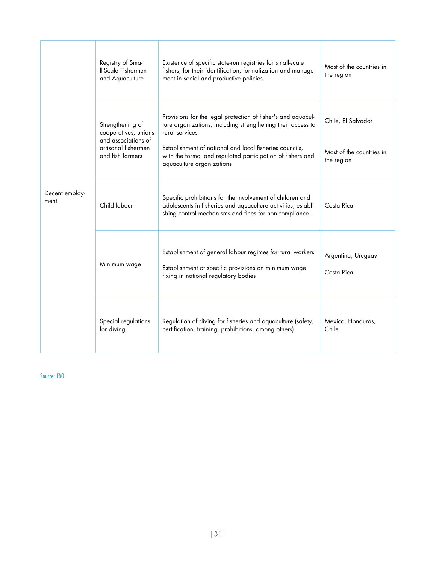| Decent employ-<br>ment | Registry of Sma-<br>Il-Scale Fishermen<br>and Aquaculture                                                  | Existence of specific state-run registries for small-scale<br>fishers, for their identification, formalization and manage-<br>ment in social and productive policies.                                                                                                                               | Most of the countries in<br>the region                       |
|------------------------|------------------------------------------------------------------------------------------------------------|-----------------------------------------------------------------------------------------------------------------------------------------------------------------------------------------------------------------------------------------------------------------------------------------------------|--------------------------------------------------------------|
|                        | Strengthening of<br>cooperatives, unions<br>and associations of<br>artisanal fishermen<br>and fish farmers | Provisions for the legal protection of fisher's and aquacul-<br>ture organizations, including strengthening their access to<br>rural services<br>Establishment of national and local fisheries councils,<br>with the formal and regulated participation of fishers and<br>aquaculture organizations | Chile, El Salvador<br>Most of the countries in<br>the region |
|                        | Child labour                                                                                               | Specific prohibitions for the involvement of children and<br>adolescents in fisheries and aquaculture activities, establi-<br>shing control mechanisms and fines for non-compliance.                                                                                                                | Costa Rica                                                   |
|                        | Minimum wage                                                                                               | Establishment of general labour regimes for rural workers<br>Establishment of specific provisions on minimum wage<br>fixing in national regulatory bodies                                                                                                                                           | Argentina, Uruguay<br>Costa Rica                             |
|                        | Special regulations<br>for diving                                                                          | Regulation of diving for fisheries and aquaculture (safety,<br>certification, training, prohibitions, among others)                                                                                                                                                                                 | Mexico, Honduras,<br>Chile                                   |

Source: FAO.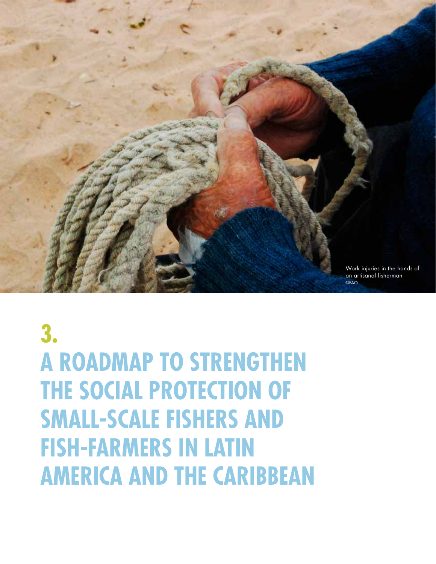

**3. A ROADMAP TO STRENGTHEN THE SOCIAL PROTECTION OF SMALL-SCALE FISHERS AND FISH-FARMERS IN LATIN AMERICA AND THE CARIBBEAN**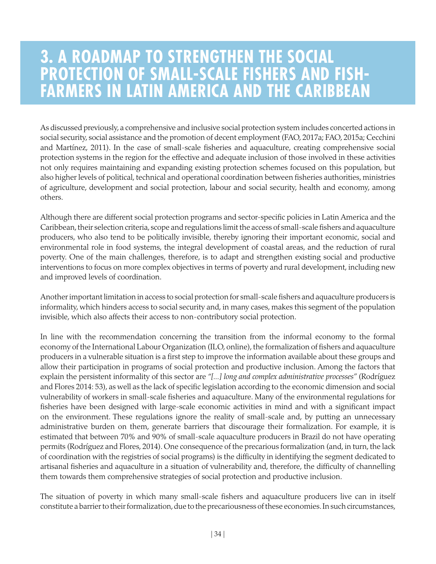### <span id="page-39-0"></span>**3. A ROADMAP TO STRENGTHEN THE SOCIAL PROTECTION OF SMALL-SCALE FISHERS AND FISH-FARMERS IN LATIN AMERICA AND THE CARIBBEAN**

As discussed previously, a comprehensive and inclusive social protection system includes concerted actions in social security, social assistance and the promotion of decent employment (FAO, 2017a; FAO, 2015a; Cecchini and Martínez, 2011). In the case of small-scale fisheries and aquaculture, creating comprehensive social protection systems in the region for the effective and adequate inclusion of those involved in these activities not only requires maintaining and expanding existing protection schemes focused on this population, but also higher levels of political, technical and operational coordination between fisheries authorities, ministries of agriculture, development and social protection, labour and social security, health and economy, among others.

Although there are different social protection programs and sector-specific policies in Latin America and the Caribbean, their selection criteria, scope and regulations limit the access of small-scale fishers and aquaculture producers, who also tend to be politically invisible, thereby ignoring their important economic, social and environmental role in food systems, the integral development of coastal areas, and the reduction of rural poverty. One of the main challenges, therefore, is to adapt and strengthen existing social and productive interventions to focus on more complex objectives in terms of poverty and rural development, including new and improved levels of coordination.

Another important limitation in access to social protection for small-scale fishers and aquaculture producers is informality, which hinders access to social security and, in many cases, makes this segment of the population invisible, which also affects their access to non-contributory social protection.

In line with the recommendation concerning the transition from the informal economy to the formal economy of the International Labour Organization (ILO, online), the formalization of fishers and aquaculture producers in a vulnerable situation is a first step to improve the information available about these groups and allow their participation in programs of social protection and productive inclusion. Among the factors that explain the persistent informality of this sector are *"[...] long and complex administrative processes"* (Rodríguez and Flores 2014: 53), as well as the lack of specific legislation according to the economic dimension and social vulnerability of workers in small-scale fisheries and aquaculture. Many of the environmental regulations for fisheries have been designed with large-scale economic activities in mind and with a significant impact on the environment. These regulations ignore the reality of small-scale and, by putting an unnecessary administrative burden on them, generate barriers that discourage their formalization. For example, it is estimated that between 70% and 90% of small-scale aquaculture producers in Brazil do not have operating permits (Rodríguez and Flores, 2014). One consequence of the precarious formalization (and, in turn, the lack of coordination with the registries of social programs) is the difficulty in identifying the segment dedicated to artisanal fisheries and aquaculture in a situation of vulnerability and, therefore, the difficulty of channelling them towards them comprehensive strategies of social protection and productive inclusion.

The situation of poverty in which many small-scale fishers and aquaculture producers live can in itself constitute a barrier to their formalization, due to the precariousness of these economies. In such circumstances,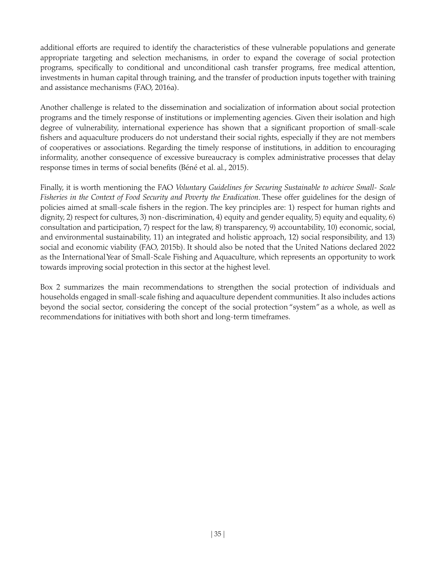additional efforts are required to identify the characteristics of these vulnerable populations and generate appropriate targeting and selection mechanisms, in order to expand the coverage of social protection programs, specifically to conditional and unconditional cash transfer programs, free medical attention, investments in human capital through training, and the transfer of production inputs together with training and assistance mechanisms (FAO, 2016a).

Another challenge is related to the dissemination and socialization of information about social protection programs and the timely response of institutions or implementing agencies. Given their isolation and high degree of vulnerability, international experience has shown that a significant proportion of small-scale fishers and aquaculture producers do not understand their social rights, especially if they are not members of cooperatives or associations. Regarding the timely response of institutions, in addition to encouraging informality, another consequence of excessive bureaucracy is complex administrative processes that delay response times in terms of social benefits (Béné et al. al., 2015).

Finally, it is worth mentioning the FAO *Voluntary Guidelines for Securing Sustainable to achieve Small- Scale Fisheries in the Context of Food Security and Poverty the Eradication*. These offer guidelines for the design of policies aimed at small-scale fishers in the region. The key principles are: 1) respect for human rights and dignity, 2) respect for cultures, 3) non-discrimination, 4) equity and gender equality, 5) equity and equality, 6) consultation and participation, 7) respect for the law, 8) transparency, 9) accountability, 10) economic, social, and environmental sustainability, 11) an integrated and holistic approach, 12) social responsibility, and 13) social and economic viability (FAO, 2015b). It should also be noted that the United Nations declared 2022 as the International Year of Small-Scale Fishing and Aquaculture, which represents an opportunity to work towards improving social protection in this sector at the highest level.

Box 2 summarizes the main recommendations to strengthen the social protection of individuals and households engaged in small-scale fishing and aquaculture dependent communities. It also includes actions beyond the social sector, considering the concept of the social protection "system" as a whole, as well as recommendations for initiatives with both short and long-term timeframes.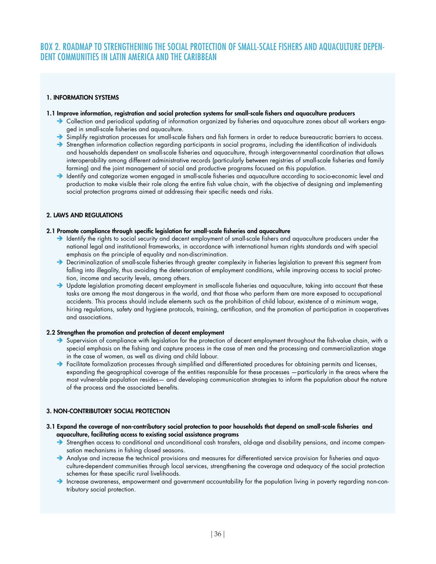### 1. INFORMATION SYSTEMS

#### 1.1 Improve information, registration and social protection systems for small-scale fishers and aquaculture producers

- è Collection and periodical updating of information organized by fisheries and aquaculture zones about all workers engaged in small-scale fisheries and aquaculture.
- è Simplify registration processes for small-scale fishers and fish farmers in order to reduce bureaucratic barriers to access.
- $\rightarrow$  Strengthen information collection regarding participants in social programs, including the identification of individuals and households dependent on small-scale fisheries and aquaculture, through intergovernmental coordination that allows interoperability among different administrative records (particularly between registries of small-scale fisheries and family farming) and the joint management of social and productive programs focused on this population.
- è Identify and categorize women engaged in small-scale fisheries and aquaculture according to socio-economic level and production to make visible their role along the entire fish value chain, with the objective of designing and implementing social protection programs aimed at addressing their specific needs and risks.

### 2. LAWS AND REGULATIONS

#### 2.1 Promote compliance through specific legislation for small-scale fisheries and aquaculture

- Identify the rights to social security and decent employment of small-scale fishers and aquaculture producers under the national legal and institutional frameworks, in accordance with international human rights standards and with special emphasis on the principle of equality and non-discrimination.
- **E** Decriminalization of small-scale fisheries through greater complexity in fisheries legislation to prevent this segment from falling into illegality, thus avoiding the deterioration of employment conditions, while improving access to social protection, income and security levels, among others.
- è Update legislation promoting decent employment in small-scale fisheries and aquaculture, taking into account that these tasks are among the most dangerous in the world, and that those who perform them are more exposed to occupational accidents. This process should include elements such as the prohibition of child labour, existence of a minimum wage, hiring regulations, safety and hygiene protocols, training, certification, and the promotion of participation in cooperatives and associations.

#### 2.2 Strengthen the promotion and protection of decent employment

- Supervision of compliance with legislation for the protection of decent employment throughout the fish-value chain, with a special emphasis on the fishing and capture process in the case of men and the processing and commercialization stage in the case of women, as well as diving and child labour.
- è Facilitate formalization processes through simplified and differentiated procedures for obtaining permits and licenses, expanding the geographical coverage of the entities responsible for these processes —particularly in the areas where the most vulnerable population resides— and developing communication strategies to inform the population about the nature of the process and the associated benefits.

### 3. NON-CONTRIBUTORY SOCIAL PROTECTION

- 3.1 Expand the coverage of non-contributory social protection to poor households that depend on small-scale fisheries and aquaculture, facilitating access to existing social assistance programs
	- è Strengthen access to conditional and unconditional cash transfers, old-age and disability pensions, and income compensation mechanisms in fishing closed seasons.
	- è Analyse and increase the technical provisions and measures for differentiated service provision for fisheries and aquaculture-dependent communities through local services, strengthening the coverage and adequacy of the social protection schemes for these specific rural livelihoods.
	- è Increase awareness, empowerment and government accountability for the population living in poverty regarding non-contributory social protection.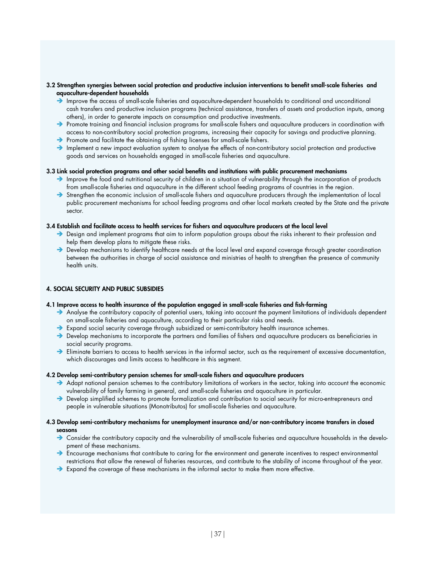#### 3.2 Strengthen synergies between social protection and productive inclusion interventions to benefit small-scale fisheries and aquaculture-dependent households

- è Improve the access of small-scale fisheries and aquaculture-dependent households to conditional and unconditional cash transfers and productive inclusion programs (technical assistance, transfers of assets and production inputs, among others), in order to generate impacts on consumption and productive investments.
- è Promote training and financial inclusion programs for small-scale fishers and aquaculture producers in coordination with access to non-contributory social protection programs, increasing their capacity for savings and productive planning.
- **•** Promote and facilitate the obtaining of fishing licenses for small-scale fishers.
- è Implement a new impact evaluation system to analyse the effects of non-contributory social protection and productive goods and services on households engaged in small-scale fisheries and aquaculture.

#### 3.3 Link social protection programs and other social benefits and institutions with public procurement mechanisms

- $\rightarrow$  Improve the food and nutritional security of children in a situation of vulnerability through the incorporation of products from small-scale fisheries and aquaculture in the different school feeding programs of countries in the region.
- è Strengthen the economic inclusion of small-scale fishers and aquaculture producers through the implementation of local public procurement mechanisms for school feeding programs and other local markets created by the State and the private sector.

#### 3.4 Establish and facilitate access to health services for fishers and aquaculture producers at the local level

- $\rightarrow$  Design and implement programs that aim to inform population groups about the risks inherent to their profession and help them develop plans to mitigate these risks.
- $\rightarrow$  Develop mechanisms to identify healthcare needs at the local level and expand coverage through greater coordination between the authorities in charge of social assistance and ministries of health to strengthen the presence of community health units.

#### 4. SOCIAL SECURITY AND PUBLIC SUBSIDIES

#### 4.1 Improve access to health insurance of the population engaged in small-scale fisheries and fish-farming

- $\rightarrow$  Analyse the contributory capacity of potential users, taking into account the payment limitations of individuals dependent on small-scale fisheries and aquaculture, according to their particular risks and needs.
- $\rightarrow$  Expand social security coverage through subsidized or semi-contributory health insurance schemes.
- $\rightarrow$  Develop mechanisms to incorporate the partners and families of fishers and aquaculture producers as beneficiaries in social security programs.
- $\rightarrow$  Eliminate barriers to access to health services in the informal sector, such as the requirement of excessive documentation, which discourages and limits access to healthcare in this segment.

#### 4.2 Develop semi-contributory pension schemes for small-scale fishers and aquaculture producers

- $\rightarrow$  Adapt national pension schemes to the contributory limitations of workers in the sector, taking into account the economic vulnerability of family farming in general, and small-scale fisheries and aquaculture in particular.
- è Develop simplified schemes to promote formalization and contribution to social security for micro-entrepreneurs and people in vulnerable situations (Monotributos) for small-scale fisheries and aquaculture.

#### 4.3 Develop semi-contributory mechanisms for unemployment insurance and/or non-contributory income transfers in closed seasons

- $\rightarrow$  Consider the contributory capacity and the vulnerability of small-scale fisheries and aquaculture households in the development of these mechanisms.
- $\rightarrow$  Encourage mechanisms that contribute to caring for the environment and generate incentives to respect environmental restrictions that allow the renewal of fisheries resources, and contribute to the stability of income throughout of the year.
- **Expand the coverage of these mechanisms in the informal sector to make them more effective.**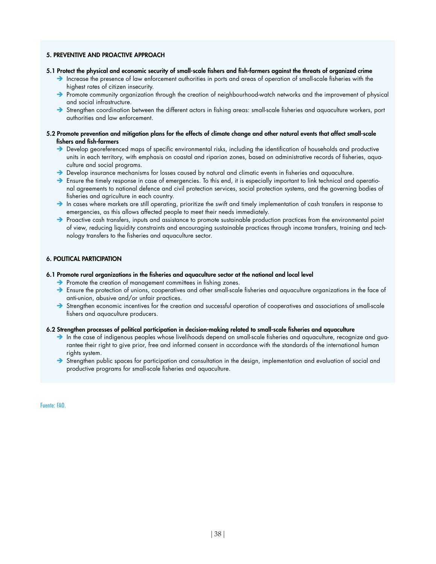### 5. PREVENTIVE AND PROACTIVE APPROACH

- 5.1 Protect the physical and economic security of small-scale fishers and fish-farmers against the threats of organized crime
	- $\rightarrow$  Increase the presence of law enforcement authorities in ports and areas of operation of small-scale fisheries with the highest rates of citizen insecurity.
	- è Promote community organization through the creation of neighbourhood-watch networks and the improvement of physical and social infrastructure.
	- è Strengthen coordination between the different actors in fishing areas: small-scale fisheries and aquaculture workers, port authorities and law enforcement.

### 5.2 Promote prevention and mitigation plans for the effects of climate change and other natural events that affect small-scale fishers and fish-farmers

- $\rightarrow$  Develop georeferenced maps of specific environmental risks, including the identification of households and productive units in each territory, with emphasis on coastal and riparian zones, based on administrative records of fisheries, aquaculture and social programs.
- è Develop insurance mechanisms for losses caused by natural and climatic events in fisheries and aquaculture.
- è Ensure the timely response in case of emergencies. To this end, it is especially important to link technical and operational agreements to national defence and civil protection services, social protection systems, and the governing bodies of fisheries and agriculture in each country.
- $\rightarrow$  In cases where markets are still operating, prioritize the swift and timely implementation of cash transfers in response to emergencies, as this allows affected people to meet their needs immediately.
- $\rightarrow$  Proactive cash transfers, inputs and assistance to promote sustainable production practices from the environmental point of view, reducing liquidity constraints and encouraging sustainable practices through income transfers, training and technology transfers to the fisheries and aquaculture sector.

### 6. POLITICAL PARTICIPATION

#### 6.1 Promote rural organizations in the fisheries and aquaculture sector at the national and local level

- **•** Promote the creation of management committees in fishing zones.
- è Ensure the protection of unions, cooperatives and other small-scale fisheries and aquaculture organizations in the face of anti-union, abusive and/or unfair practices.
- è Strengthen economic incentives for the creation and successful operation of cooperatives and associations of small-scale fishers and aquaculture producers.

### 6.2 Strengthen processes of political participation in decision-making related to small-scale fisheries and aquaculture

- $\rightarrow$  In the case of indigenous peoples whose livelihoods depend on small-scale fisheries and aquaculture, recognize and guarantee their right to give prior, free and informed consent in accordance with the standards of the international human rights system.
- è Strengthen public spaces for participation and consultation in the design, implementation and evaluation of social and productive programs for small-scale fisheries and aquaculture.

Fuente: FAO.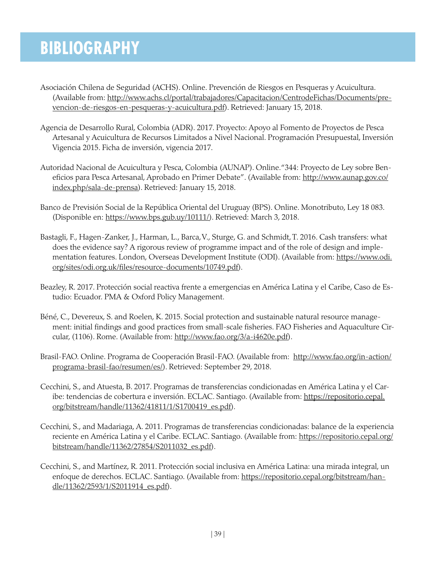### <span id="page-44-0"></span>**BIBLIOGRAPHY**

- Asociación Chilena de Seguridad (ACHS). Online. Prevención de Riesgos en Pesqueras y Acuicultura. (Available from: [http://www.achs.cl/portal/trabajadores/Capacitacion/CentrodeFichas/Documents/pre](http://www.achs.cl/portal/trabajadores/Capacitacion/CentrodeFichas/Documents/prevencion-de-riesgos-en-pesqueras-y-acuicultura.pdf)[vencion-de-riesgos-en-pesqueras-y-acuicultura.pdf](http://www.achs.cl/portal/trabajadores/Capacitacion/CentrodeFichas/Documents/prevencion-de-riesgos-en-pesqueras-y-acuicultura.pdf)). Retrieved: January 15, 2018.
- Agencia de Desarrollo Rural, Colombia (ADR). 2017. Proyecto: Apoyo al Fomento de Proyectos de Pesca Artesanal y Acuicultura de Recursos Limitados a Nivel Nacional. Programación Presupuestal, Inversión Vigencia 2015. Ficha de inversión, vigencia 2017.
- Autoridad Nacional de Acuicultura y Pesca, Colombia (AUNAP). Online. "344: Proyecto de Ley sobre Beneficios para Pesca Artesanal, Aprobado en Primer Debate". (Available from: [http://www.aunap.gov.co/](http://www.aunap.gov.co/index.php/sala-de-prensa) [index.php/sala-de-prensa\)](http://www.aunap.gov.co/index.php/sala-de-prensa). Retrieved: January 15, 2018.
- Banco de Previsión Social de la República Oriental del Uruguay (BPS). Online. Monotributo, Ley 18 083. (Disponible en: [https://www.bps.gub.uy/10111/\)](https://www.bps.gub.uy/10111/). Retrieved: March 3, 2018.
- Bastagli, F., Hagen-Zanker, J., Harman, L., Barca, V., Sturge, G. and Schmidt, T. 2016. Cash transfers: what does the evidence say? A rigorous review of programme impact and of the role of design and implementation features. London, Overseas Development Institute (ODI). (Available from: [https://www.odi.](https://www.odi.org/sites/odi.org.uk/files/resource-documents/10749.pdf) [org/sites/odi.org.uk/files/resource-documents/10749.pdf\)](https://www.odi.org/sites/odi.org.uk/files/resource-documents/10749.pdf).
- Beazley, R. 2017. Protección social reactiva frente a emergencias en América Latina y el Caribe, Caso de Estudio: Ecuador. PMA & Oxford Policy Management.
- Béné, C., Devereux, S. and Roelen, K. 2015. Social protection and sustainable natural resource management: initial findings and good practices from small-scale fisheries. FAO Fisheries and Aquaculture Circular, (1106). Rome. (Available from:<http://www.fao.org/3/a-i4620e.pdf>).
- Brasil-FAO. Online. Programa de Cooperación Brasil-FAO. (Available from: [http://www.fao.org/in-action/](http://www.fao.org/in-action/programa-brasil-fao/resumen/es/) [programa-brasil-fao/resumen/es/\)](http://www.fao.org/in-action/programa-brasil-fao/resumen/es/). Retrieved: September 29, 2018.
- Cecchini, S., and Atuesta, B. 2017. Programas de transferencias condicionadas en América Latina y el Caribe: tendencias de cobertura e inversión. ECLAC. Santiago. (Available from: [https://repositorio.cepal.](https://repositorio.cepal.org/bitstream/handle/11362/41811/1/S1700419_es.pdf) [org/bitstream/handle/11362/41811/1/S1700419\\_es.pdf](https://repositorio.cepal.org/bitstream/handle/11362/41811/1/S1700419_es.pdf)).
- Cecchini, S., and Madariaga, A. 2011. Programas de transferencias condicionadas: balance de la experiencia reciente en América Latina y el Caribe. ECLAC. Santiago. (Available from: [https://repositorio.cepal.org/](https://repositorio.cepal.org/bitstream/handle/11362/27854/S2011032_es.pdf) [bitstream/handle/11362/27854/S2011032\\_es.pdf\)](https://repositorio.cepal.org/bitstream/handle/11362/27854/S2011032_es.pdf).
- Cecchini, S., and Martínez, R. 2011. Protección social inclusiva en América Latina: una mirada integral, un enfoque de derechos. ECLAC. Santiago. (Available from: [https://repositorio.cepal.org/bitstream/han](https://repositorio.cepal.org/bitstream/handle/11362/2593/1/S2011914_es.pdf)[dle/11362/2593/1/S2011914\\_es.pdf\)](https://repositorio.cepal.org/bitstream/handle/11362/2593/1/S2011914_es.pdf).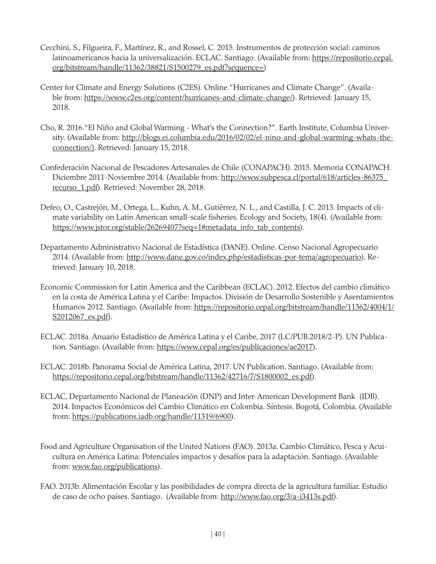- Cecchini, S., Filgueira, F., Martínez, R., and Rossel, C. 2015. Instrumentos de protección social: caminos latinoamericanos hacia la universalización. ECLAC. Santiago. (Available from: [https://repositorio.cepal.](https://repositorio.cepal.org/bitstream/handle/11362/38821/S1500279_es.pdf?sequence=) [org/bitstream/handle/11362/38821/S1500279\\_es.pdf?sequence=\)](https://repositorio.cepal.org/bitstream/handle/11362/38821/S1500279_es.pdf?sequence=)
- Center for Climate and Energy Solutions (C2ES). Online. "Hurricanes and Climate Change". (Available from: [https://www.c2es.org/content/hurricanes-and-climate-change/\)](https://www.c2es.org/content/hurricanes-and-climate-change/). Retrieved: January 15, 2018.
- Cho, R. 2016. "El Niño and Global Warming What's the Connection?". Earth Institute, Columbia University. (Available from: [http://blogs.ei.columbia.edu/2016/02/02/el-nino-and-global-warming-whats-the](http://blogs.ei.columbia.edu/2016/02/02/el-nino-and-global-warming-whats-the-connection/)[connection/\)](http://blogs.ei.columbia.edu/2016/02/02/el-nino-and-global-warming-whats-the-connection/). Retrieved: January 15, 2018.
- Confederación Nacional de Pescadores Artesanales de Chile (CONAPACH). 2015. Memoria CONAPACH. Diciembre 2011-Noviembre 2014. (Available from: [http://www.subpesca.cl/portal/618/articles-86375\\_](http://www.subpesca.cl/portal/618/articles-86375_recurso_1.pdf) [recurso\\_1.pdf](http://www.subpesca.cl/portal/618/articles-86375_recurso_1.pdf)). Retrieved: November 28, 2018.
- Defeo, O., Castrejón, M., Ortega, L., Kuhn, A. M., Gutiérrez, N. L., and Castilla, J. C. 2013. Impacts of climate variability on Latin American small-scale fisheries. Ecology and Society, 18(4). (Available from: [https://www.jstor.org/stable/26269407?seq=1#metadata\\_info\\_tab\\_contents\)](https://www.jstor.org/stable/26269407?seq=1#metadata_info_tab_contents).
- Departamento Administrativo Nacional de Estadística (DANE). Online. Censo Nacional Agropecuario 2014. (Available from: [http://www.dane.gov.co/index.php/estadisticas-por-tema/agropecuario\)](http://www.dane.gov.co/index.php/estadisticas-por-tema/agropecuario). Retrieved: January 10, 2018.
- Economic Commission for Latin America and the Caribbean (ECLAC). 2012. Efectos del cambio climático en la costa de América Latina y el Caribe: Impactos. División de Desarrollo Sostenible y Asentamientos Humanos 2012. Santiago. (Available from: [https://repositorio.cepal.org/bitstream/handle/11362/4004/1/](https://repositorio.cepal.org/bitstream/handle/11362/4004/1/S2012067_es.pdf) [S2012067\\_es.pdf\)](https://repositorio.cepal.org/bitstream/handle/11362/4004/1/S2012067_es.pdf).
- ECLAC. 2018a. Anuario Estadístico de América Latina y el Caribe, 2017 (LC/PUB.2018/2-P). UN Publication. Santiago. (Available from:<https://www.cepal.org/es/publicaciones/ae2017>).
- ECLAC. 2018b. Panorama Social de América Latina, 2017. UN Publication. Santiago. (Available from: [https://repositorio.cepal.org/bitstream/handle/11362/42716/7/S1800002\\_es.pdf](https://repositorio.cepal.org/bitstream/handle/11362/42716/7/S1800002_es.pdf)).
- ECLAC, Departamento Nacional de Planeación (DNP) and Inter-American Development Bank (IDB). 2014. Impactos Económicos del Cambio Climático en Colombia. Síntesis. Bogotá, Colombia. (Available from: [https://publications.iadb.org/handle/11319/6900\)](https://publications.iadb.org/handle/11319/6900).
- Food and Agriculture Organisation of the United Nations (FAO). 2013a. Cambio Climático, Pesca y Acuicultura en América Latina: Potenciales impactos y desafíos para la adaptación. Santiago. (Available from: [www.fao.org/publications](http://www.fao.org/publications)).
- FAO. 2013b. Alimentación Escolar y las posibilidades de compra directa de la agricultura familiar. Estudio de caso de ocho países. Santiago. (Available from: [http://www.fao.org/3/a-i3413s.pdf\)](http://www.fao.org/3/a-i3413s.pdf).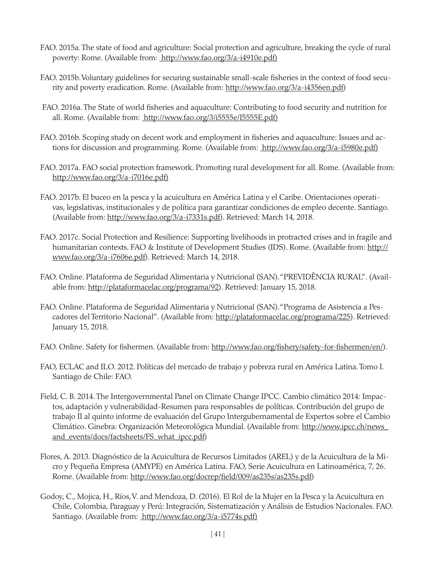- FAO. 2015a. The state of food and agriculture: Social protection and agriculture, breaking the cycle of rural poverty[:](http://www.fao.org/publications) Rome. (Available from: [http://www.fao.org/3/a-i4910e.pdf\)]( http://www.fao.org/3/a-i4910e.pdf))
- FAO. 2015b. Voluntary guidelines for securing sustainable small-scale fisheries in the context of food security and poverty eradication. Rome. (Available from: <http://www.fao.org/3/a-i4356en.pdf>)
- FAO. 2016a. The State of world fisheries and aquaculture: Contributing to food security and nutrition for all.Rome. (Available from: [http://www.fao.org/3/i5555e/I5555E.pdf\)]( http://www.fao.org/3/i5555e/I5555E.pdf). )
- FAO. 2016b. Scoping study on decent work and employment in fisheries and aquaculture: Issues and actions for discussion and programming. Rome. (Available from: [http://www.fao.org/3/a-i5980e.pdf\)]( http://www.fao.org/3/a-i5980e.pdf). )
- FAO. 2017a. FAO social protection framework. Promoting rural development for all. Rome. (Available from: [http://www.fao.org/3/a-i7016e.pdf\)]( http://www.fao.org/3/a-i7016e.pdf). )
- FAO. 2017b. El buceo en la pesca y la acuicultura en América Latina y el Caribe. Orientaciones operativas, legislativas, institucionales y de política para garantizar condiciones de empleo decente. Santiago. (Available from: <http://www.fao.org/3/a-i7331s.pdf>). Retrieved: March 14, 2018.
- FAO. 2017c. Social Protection and Resilience: Supporting livelihoods in protracted crises and in fragile and humanitarian contexts. FAO & Institute of Development Studies (IDS). Rome. (Available from: [http://](http://www.fao.org/3/a-i7606e.pdf) [www.fao.org/3/a-i7606e.pdf](http://www.fao.org/3/a-i7606e.pdf)). Retrieved: March 14, 2018.
- FAO. Online. Plataforma de Seguridad Alimentaria y Nutricional (SAN). "PREVIDÊNCIA RURAL". (Available from: <http://plataformacelac.org/programa/92>). Retrieved: January 15, 2018.
- FAO. Online. Plataforma de Seguridad Alimentaria y Nutricional (SAN). "Programa de Asistencia a Pescadores del Territorio Nacional". (Available from:<http://plataformacelac.org/programa/225>). Retrieved: January 15, 2018.
- FAO. Online. Safety for fishermen. (Available from:<http://www.fao.org/fishery/safety-for-fishermen/en/>).
- FAO, ECLAC and ILO. 2012. Políticas del mercado de trabajo y pobreza rural en América Latina. Tomo I. Santiago de Chile: FAO.
- Field, C. B. 2014. The Intergovernmental Panel on Climate Change IPCC. Cambio climático 2014: Impactos, adaptación y vulnerabilidad-Resumen para responsables de políticas. Contribución del grupo de trabajo II al quinto informe de evaluación del Grupo Intergubernamental de Expertos sobre el Cambio Climático. Ginebra: Organización Meteorológica Mundial. (Available from: [http://www.ipcc.ch/news\\_](http://www.ipcc.ch/news_and_events/docs/factsheets/FS_what_ipcc.pdf) [and\\_events/docs/factsheets/FS\\_what\\_ipcc.pdf](http://www.ipcc.ch/news_and_events/docs/factsheets/FS_what_ipcc.pdf))
- Flores, A. 2013. Diagnóstico de la Acuicultura de Recursos Limitados (AREL) y de la Acuicultura de la Micro y Pequeña Empresa (AMYPE) en América Latina. FAO, Serie Acuicultura en Latinoamérica, 7, 26. Rome. (Available from: [http://www.fao.org/docrep/field/009/as235s/as235s.pdf\)](http://www.fao.org/docrep/field/009/as235s/as235s.pdf)
- Godoy, C., Mojica, H., Ríos, V. and Mendoza, D. (2016). El Rol de la Mujer en la Pesca y la Acuicultura en Chile, Colombia, Paraguay y Perú: Integración, Sistematización y Análisis de Estudios Nacionales. FAO. Santiago. (Available from[:](http://www.fao.org/publications) [http://www.fao.org/3/a-i5774s.pdf\)]( http://www.fao.org/3/a-i5774s.pdf). )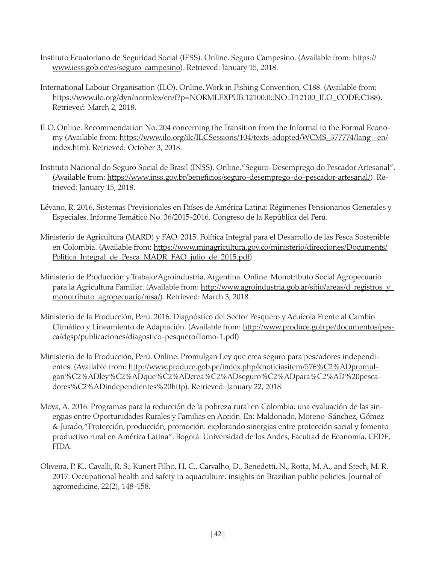- Instituto Ecuatoriano de Seguridad Social (IESS). Online. Seguro Campesino. (Available from: [https://](https://www.iess.gob.ec/es/seguro-campesino) [www.iess.gob.ec/es/seguro-campesino](https://www.iess.gob.ec/es/seguro-campesino)). Retrieved: January 15, 2018.
- International Labour Organisation (ILO). Online. Work in Fishing Convention, C188. (Available from: [https://www.ilo.org/dyn/normlex/en/f?p=NORMLEXPUB:12100:0::NO::P12100\\_ILO\\_CODE:C188\)](https://www.ilo.org/dyn/normlex/en/f?p=NORMLEXPUB:12100:0::NO::P12100_ILO_CODE:C188). Retrieved: March 2, 2018.
- ILO. Online. Recommendation No. 204 concerning the Transition from the Informal to the Formal Economy (Available from: [https://www.ilo.org/ilc/ILCSessions/104/texts-adopted/WCMS\\_377774/lang--en/](https://www.ilo.org/ilc/ILCSessions/104/texts-adopted/WCMS_377774/lang--en/index.htm) [index.htm](https://www.ilo.org/ilc/ILCSessions/104/texts-adopted/WCMS_377774/lang--en/index.htm)). Retrieved: October 3, 2018.
- Instituto Nacional do Seguro Social de Brasil (INSS). Online. "Seguro-Desemprego do Pescador Artesanal". (Available from: <https://www.inss.gov.br/beneficios/seguro-desemprego-do-pescador-artesanal/>). Retrieved: January 15, 2018.
- Lévano, R. 2016. Sistemas Previsionales en Países de América Latina: Régimenes Pensionarios Generales y Especiales. Informe Temático No. 36/2015-2016, Congreso de la República del Perú.
- Ministerio de Agricultura (MARD) y FAO. 2015. Política Integral para el Desarrollo de las Pesca Sostenible en Colombia. (Available from: [https://www.minagricultura.gov.co/ministerio/direcciones/Documents/](https://www.minagricultura.gov.co/ministerio/direcciones/Documents/Politica_Integral_de_Pesca_MADR_FAO_julio_de_2015.pdf) Politica Integral de Pesca MADR FAO julio de 2015.pdf)
- Ministerio de Producción y Trabajo/Agroindustria, Argentina. Online. Monotributo Social Agropecuario para la Agricultura Familiar. (Available from: [http://www.agroindustria.gob.ar/sitio/areas/d\\_registros\\_y\\_](http://www.agroindustria.gob.ar/sitio/areas/d_registros_y_monotributo_agropecuario/msa/) [monotributo\\_agropecuario/msa/](http://www.agroindustria.gob.ar/sitio/areas/d_registros_y_monotributo_agropecuario/msa/)). Retrieved: March 3, 2018.
- Ministerio de la Producción, Perú. 2016. Diagnóstico del Sector Pesquero y Acuícola Frente al Cambio Climático y Lineamiento de Adaptación. (Available from: [http://www.produce.gob.pe/documentos/pes](http://www.produce.gob.pe/documentos/pesca/dgsp/publicaciones/diagostico-pesquero/Tomo-1.pdf)[ca/dgsp/publicaciones/diagostico-pesquero/Tomo-1.pdf](http://www.produce.gob.pe/documentos/pesca/dgsp/publicaciones/diagostico-pesquero/Tomo-1.pdf))
- Ministerio de la Producción, Perú. Online. Promulgan Ley que crea seguro para pescadores independientes. (Available from: [http://www.produce.gob.pe/index.php/knoticiasitem/576%C2%ADpromul](http://www.produce.gob.pe/index.php/k2/noticias/item/576%C2%ADpromulgan%C2%ADley%C2%ADque%C2%ADcrea%C2%ADseguro%C2%ADpara%C2%AD pescadores%C2%ADindependientes http)[gan%C2%ADley%C2%ADque%C2%ADcrea%C2%ADseguro%C2%ADpara%C2%AD%20pesca](http://www.produce.gob.pe/index.php/k2/noticias/item/576%C2%ADpromulgan%C2%ADley%C2%ADque%C2%ADcrea%C2%ADseguro%C2%ADpara%C2%AD pescadores%C2%ADindependientes http)[dores%C2%ADindependientes%20http](http://www.produce.gob.pe/index.php/k2/noticias/item/576%C2%ADpromulgan%C2%ADley%C2%ADque%C2%ADcrea%C2%ADseguro%C2%ADpara%C2%AD pescadores%C2%ADindependientes http)). Retrieved: January 22, 2018.
- Moya, A. 2016. Programas para la reducción de la pobreza rural en Colombia: una evaluación de las sinergias entre Oportunidades Rurales y Familias en Acción. En: Maldonado, Moreno-Sánchez, Gómez & Jurado, "Protección, producción, promoción: explorando sinergias entre protección social y fomento productivo rural en América Latina". Bogotá: Universidad de los Andes, Facultad de Economía, CEDE, FIDA.
- Oliveira, P. K., Cavalli, R. S., Kunert Filho, H. C., Carvalho, D., Benedetti, N., Rotta, M. A., and Stech, M. R. 2017. Occupational health and safety in aquaculture: insights on Brazilian public policies. Journal of agromedicine, 22(2), 148-158.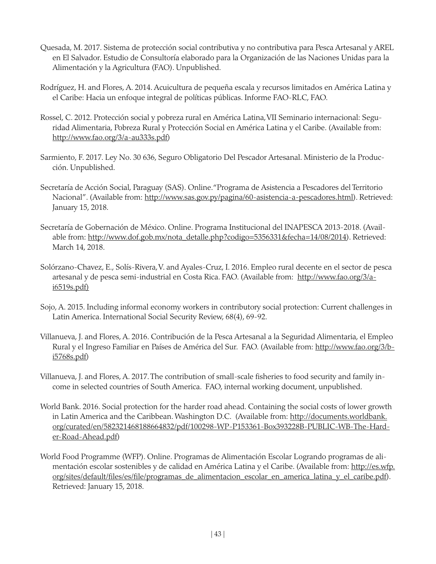- Quesada, M. 2017. Sistema de protección social contributiva y no contributiva para Pesca Artesanal y AREL en El Salvador. Estudio de Consultoría elaborado para la Organización de las Naciones Unidas para la Alimentación y la Agricultura (FAO). Unpublished.
- Rodríguez, H. and Flores, A. 2014. Acuicultura de pequeña escala y recursos limitados en América Latina y el Caribe: Hacia un enfoque integral de políticas públicas. Informe FAO-RLC, FAO.
- Rossel, C. 2012. Protección social y pobreza rural en América Latina, VII Seminario internacional: Seguridad Alimentaria, Pobreza Rural y Protección Social en América Latina y el Caribe. (Available from: <http://www.fao.org/3/a-au333s.pdf>)
- Sarmiento, F. 2017. Ley No. 30 636, Seguro Obligatorio Del Pescador Artesanal. Ministerio de la Producción. Unpublished.
- Secretaría de Acción Social, Paraguay (SAS). Online. "Programa de Asistencia a Pescadores del Territorio Nacional". (Available from:<http://www.sas.gov.py/pagina/60-asistencia-a-pescadores.html>). Retrieved: January 15, 2018.
- Secretaría de Gobernación de México. Online. Programa Institucional del INAPESCA 2013-2018. (Available from: [http://www.dof.gob.mx/nota\\_detalle.php?codigo=5356331&fecha=14/08/2014\)](http://www.dof.gob.mx/nota_detalle.php?codigo=5356331&fecha=14/08/2014). Retrieved: March 14, 2018.
- Solórzano-Chavez, E., Solís-Rivera, V. and Ayales-Cruz, I. 2016. Empleo rural decente en el sector de pesca artesanal y de pesca semi-industrial en Costa Rica. FAO. (Available from[:](http://www.fao.org/publications) [http://www.fao.org/3/a](http://www.fao.org/publications). )[i6519s.pdf\)](http://www.fao.org/publications). )
- Sojo, A. 2015. Including informal economy workers in contributory social protection: Current challenges in Latin America. International Social Security Review, 68(4), 69-92.
- Villanueva, J. and Flores, A. 2016. Contribución de la Pesca Artesanal a la Seguridad Alimentaria, el Empleo Rural y el Ingreso Familiar en Países de América del Sur. FAO. (Available from: [http://www.fao.org/3/b](http://www.fao.org/3/b-i5768s.pdf)[i5768s.pdf](http://www.fao.org/3/b-i5768s.pdf))
- Villanueva, J. and Flores, A. 2017. The contribution of small-scale fisheries to food security and family income in selected countries of South America. FAO, internal working document, unpublished.
- World Bank. 2016. Social protection for the harder road ahead. Containing the social costs of lower growth in Latin America and the Caribbean. Washington D.C. (Available from: [http://documents.worldbank.](http://documents.worldbank.org/curated/en/582321468188664832/pdf/100298-WP-P153361-Box393228B-PUBLIC-WB-The-Harder-Road-Ahead.pdf) [org/curated/en/582321468188664832/pdf/100298-WP-P153361-Box393228B-PUBLIC-WB-The-Hard](http://documents.worldbank.org/curated/en/582321468188664832/pdf/100298-WP-P153361-Box393228B-PUBLIC-WB-The-Harder-Road-Ahead.pdf)[er-Road-Ahead.pdf\)](http://documents.worldbank.org/curated/en/582321468188664832/pdf/100298-WP-P153361-Box393228B-PUBLIC-WB-The-Harder-Road-Ahead.pdf)
- World Food Programme (WFP). Online. Programas de Alimentación Escolar Logrando programas de alimentación escolar sostenibles y de calidad en América Latina y el Caribe. (Available from: [http://es.wfp.](http://es.wfp.org/sites/default/files/es/file/programas_de_alimentacion_escolar_en_america_latina_y_el_caribe.pdf) [org/sites/default/files/es/file/programas\\_de\\_alimentacion\\_escolar\\_en\\_america\\_latina\\_y\\_el\\_caribe.pdf\)](http://es.wfp.org/sites/default/files/es/file/programas_de_alimentacion_escolar_en_america_latina_y_el_caribe.pdf). Retrieved: January 15, 2018.